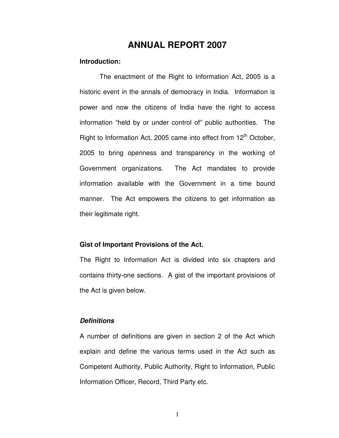# **ANNUAL REPORT 2007**

### **Introduction:**

 historic event in the annals of democracy in India. Information is power and now the citizens of India have the right to access information "held by or under control of" public authorities. The Right to Information Act, 2005 came into effect from 12<sup>th</sup> October, 2005 to bring openness and transparency in the working of Government organizations. information available with the Government in a time bound manner. The Act empowers the citizens to get information as their legitimate right. The enactment of the Right to Information Act, 2005 is a The Act mandates to provide.

### **Gist of Important Provisions of the Act.**

 The Right to Information Act is divided into six chapters and contains thirty-one sections. A gist of the important provisions of the Act is given below.

### **Definitions**

 A number of definitions are given in section 2 of the Act which explain and define the various terms used in the Act such as Competent Authority, Public Authority, Right to Information, Public Information Officer, Record, Third Party etc.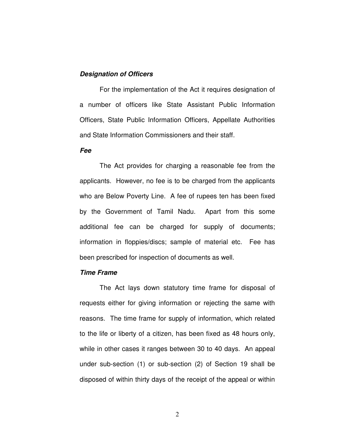### **Designation of Officers**

 a number of officers like State Assistant Public Information Officers, State Public Information Officers, Appellate Authorities and State Information Commissioners and their staff. For the implementation of the Act it requires designation of

#### **Fee**

 applicants. However, no fee is to be charged from the applicants who are Below Poverty Line. A fee of rupees ten has been fixed by the Government of Tamil Nadu. Apart from this some additional fee can be charged for supply of documents; information in floppies/discs; sample of material etc. Fee has been prescribed for inspection of documents as well. The Act provides for charging a reasonable fee from the

#### **Time Frame**

 requests either for giving information or rejecting the same with reasons. The time frame for supply of information, which related to the life or liberty of a citizen, has been fixed as 48 hours only, while in other cases it ranges between 30 to 40 days. An appeal under sub-section (1) or sub-section (2) of Section 19 shall be disposed of within thirty days of the receipt of the appeal or within The Act lays down statutory time frame for disposal of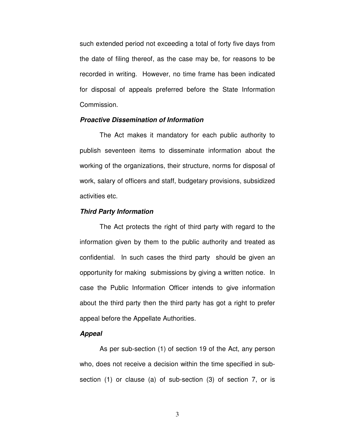such extended period not exceeding a total of forty five days from the date of filing thereof, as the case may be, for reasons to be recorded in writing. However, no time frame has been indicated for disposal of appeals preferred before the State Information Commission.

#### **Proactive Dissemination of Information**

 publish seventeen items to disseminate information about the working of the organizations, their structure, norms for disposal of work, salary of officers and staff, budgetary provisions, subsidized activities etc. The Act makes it mandatory for each public authority to

### **Third Party Information**

 information given by them to the public authority and treated as confidential. In such cases the third party should be given an opportunity for making submissions by giving a written notice. In case the Public Information Officer intends to give information about the third party then the third party has got a right to prefer appeal before the Appellate Authorities. The Act protects the right of third party with regard to the

#### **Appeal**

 As per sub-section (1) of section 19 of the Act, any person who, does not receive a decision within the time specified in sub-section (1) or clause (a) of sub-section (3) of section 7, or is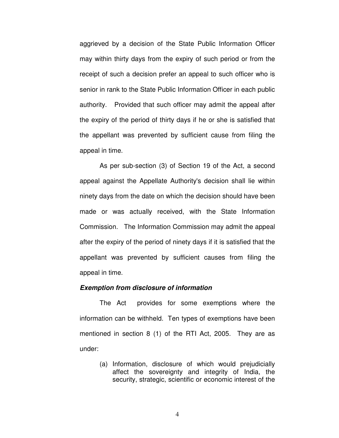aggrieved by a decision of the State Public Information Officer may within thirty days from the expiry of such period or from the receipt of such a decision prefer an appeal to such officer who is senior in rank to the State Public Information Officer in each public authority. Provided that such officer may admit the appeal after the expiry of the period of thirty days if he or she is satisfied that the appellant was prevented by sufficient cause from filing the appeal in time.

 appeal against the Appellate Authority's decision shall lie within ninety days from the date on which the decision should have been made or was actually received, with the State Information Commission. The Information Commission may admit the appeal after the expiry of the period of ninety days if it is satisfied that the appellant was prevented by sufficient causes from filing the appeal in time. As per sub-section (3) of Section 19 of the Act, a second

#### **Exemption from disclosure of information**

 information can be withheld. Ten types of exemptions have been mentioned in section 8 (1) of the RTI Act, 2005. They are as The Act provides for some exemptions where the under:

> (a) Information, disclosure of which would prejudicially affect the sovereignty and integrity of India, the security, strategic, scientific or economic interest of the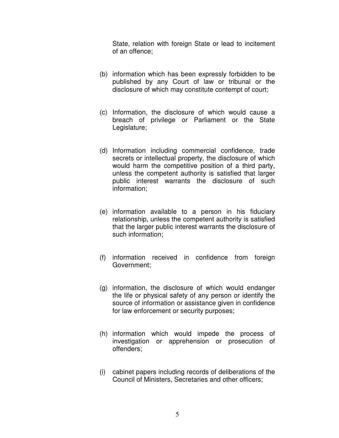State, relation with foreign State or lead to incitement of an offence;

- (b) information which has been expressly forbidden to be published by any Court of law or tribunal or the disclosure of which may constitute contempt of court;
- (c) Information, the disclosure of which would cause a breach of privilege or Parliament or the State Legislature;
- (d) Information including commercial confidence, trade secrets or intellectual property, the disclosure of which would harm the competitive position of a third party, unless the competent authority is satisfied that larger public interest warrants the disclosure of such information;
- (e) information available to a person in his fiduciary relationship, unless the competent authority is satisfied that the larger public interest warrants the disclosure of such information;
- (f) information received in confidence from foreign Government;
- (g) information, the disclosure of which would endanger the life or physical safety of any person or identify the source of information or assistance given in confidence for law enforcement or security purposes;
- (h) information which would impede the process of investigation or apprehension or prosecution of offenders;
- (i) cabinet papers including records of deliberations of the Council of Ministers, Secretaries and other officers;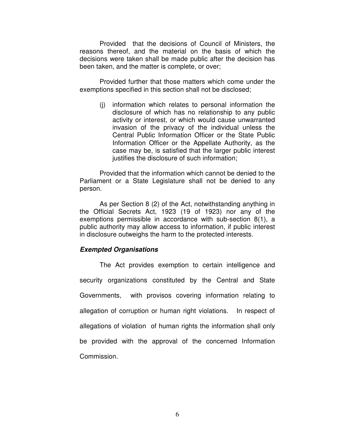Provided that the decisions of Council of Ministers, the reasons thereof, and the material on the basis of which the decisions were taken shall be made public after the decision has been taken, and the matter is complete, or over;

 Provided further that those matters which come under the exemptions specified in this section shall not be disclosed;

 (j) information which relates to personal information the disclosure of which has no relationship to any public activity or interest, or which would cause unwarranted invasion of the privacy of the individual unless the Central Public Information Officer or the State Public Information Officer or the Appellate Authority, as the case may be, is satisfied that the larger public interest justifies the disclosure of such information;

 Provided that the information which cannot be denied to the Parliament or a State Legislature shall not be denied to any person.

person.<br>As per Section 8 (2) of the Act, notwithstanding anything in the Official Secrets Act, 1923 (19 of 1923) nor any of the exemptions permissible in accordance with sub-section 8(1), a public authority may allow access to information, if public interest in disclosure outweighs the harm to the protected interests.

## **Exempted Organisations**

 security organizations constituted by the Central and State Governments. allegation of corruption or human right violations. In respect of allegations of violation of human rights the information shall only be provided with the approval of the concerned Information Commission. The Act provides exemption to certain intelligence and with provisos covering information relating to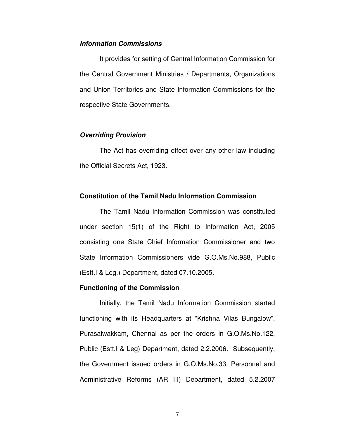## **Information Commissions**

 the Central Government Ministries / Departments, Organizations and Union Territories and State Information Commissions for the respective State Governments. It provides for setting of Central Information Commission for

### **Overriding Provision**

 the Official Secrets Act, 1923. The Act has overriding effect over any other law including

### **Constitution of the Tamil Nadu Information Commission**

 under section 15(1) of the Right to Information Act, 2005 consisting one State Chief Information Commissioner and two State Information Commissioners vide G.O.Ms.No.988, Public (Estt.I & Leg.) Department, dated 07.10.2005. The Tamil Nadu Information Commission was constituted

#### **Functioning of the Commission**

 Initially, the Tamil Nadu Information Commission started functioning with its Headquarters at "Krishna Vilas Bungalow", Purasaiwakkam, Chennai as per the orders in G.O.Ms.No.122, Public (Estt.I & Leg) Department, dated 2.2.2006. Subsequently, the Government issued orders in [G.O.Ms.No.33,](https://G.O.Ms.No.33) Personnel and Administrative Reforms (AR III) Department, dated 5.2.2007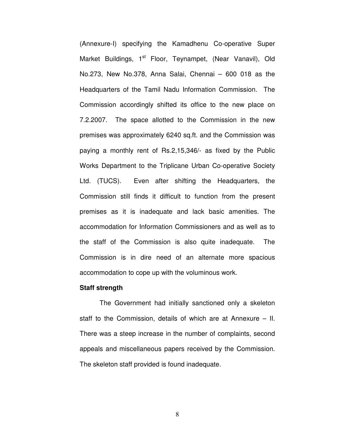(Annexure-I) specifying the Kamadhenu Co-operative Super Market Buildings, 1<sup>st</sup> Floor, Teynampet, (Near Vanavil), Old No.273, New No.378, Anna Salai, Chennai – 600 018 as the Headquarters of the Tamil Nadu Information Commission. The Commission accordingly shifted its office to the new place on 7.2.2007. The space allotted to the Commission in the new premises was approximately 6240 sq.ft. and the Commission was paying a monthly rent of Rs.2,15,346/- as fixed by the Public Works Department to the Triplicane Urban Co-operative Society Ltd. (TUCS). Commission still finds it difficult to function from the present premises as it is inadequate and lack basic amenities. The accommodation for Information Commissioners and as well as to the staff of the Commission is also quite inadequate. The Commission is in dire need of an alternate more spacious accommodation to cope up with the voluminous work. Even after shifting the Headquarters, the

#### **Staff strength**

 staff to the Commission, details of which are at Annexure – II. There was a steep increase in the number of complaints, second appeals and miscellaneous papers received by the Commission. The skeleton staff provided is found inadequate. The Government had initially sanctioned only a skeleton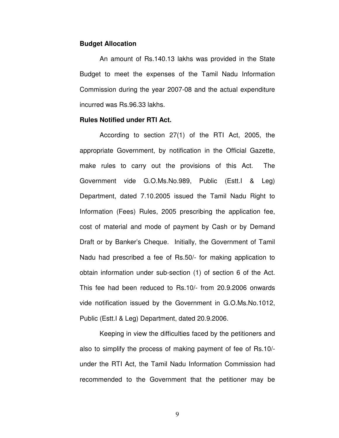#### **Budget Allocation**

 Budget to meet the expenses of the Tamil Nadu Information Commission during the year 2007-08 and the actual expenditure incurred was [Rs.96.33](https://Rs.96.33) lakhs. An amount of [Rs.140.13](https://Rs.140.13) lakhs was provided in the State

#### **Rules Notified under RTI Act.**

 According to section 27(1) of the RTI Act, 2005, the appropriate Government, by notification in the Official Gazette, make rules to carry out the provisions of this Act. The Government vide G.O.Ms.No.989, Public (Estt.I & Leg) Department, dated 7.10.2005 issued the Tamil Nadu Right to Information (Fees) Rules, 2005 prescribing the application fee, cost of material and mode of payment by Cash or by Demand Draft or by Banker's Cheque. Initially, the Government of Tamil Nadu had prescribed a fee of Rs.50/- for making application to obtain information under sub-section (1) of section 6 of the Act. This fee had been reduced to Rs.10/- from 20.9.2006 onwards vide notification issued by the Government in G.O.Ms.No.1012, Public (Estt.I & Leg) Department, dated 20.9.2006.

 Keeping in view the difficulties faced by the petitioners and also to simplify the process of making payment of fee of Rs.10/- under the RTI Act, the Tamil Nadu Information Commission had recommended to the Government that the petitioner may be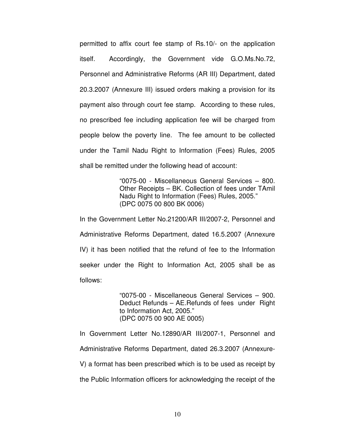permitted to affix court fee stamp of Rs.10/- on the application itself. Personnel and Administrative Reforms (AR III) Department, dated 20.3.2007 (Annexure III) issued orders making a provision for its payment also through court fee stamp. According to these rules, no prescribed fee including application fee will be charged from people below the poverty line. The fee amount to be collected under the Tamil Nadu Right to Information (Fees) Rules, 2005 shall be remitted under the following head of account: Accordingly, the Government vide [G.O.Ms.No.72,](https://G.O.Ms.No.72)

> "0075-00 - Miscellaneous General Services – 800. Other Receipts – BK. Collection of fees under TAmil Nadu Right to Information (Fees) Rules, 2005." (DPC 0075 00 800 BK 0006)

 In the Government Letter No.21200/AR III/2007-2, Personnel and Administrative Reforms Department, dated 16.5.2007 (Annexure IV) it has been notified that the refund of fee to the Information seeker under the Right to Information Act, 2005 shall be as follows:

 follows: "0075-00 - Miscellaneous General Services – 900. Deduct Refunds – AE.Refunds of fees under Right to Information Act, 2005." (DPC 0075 00 900 AE 0005)

 In Government Letter No.12890/AR III/2007-1, Personnel and Administrative Reforms Department, dated 26.3.2007 (Annexure- V) a format has been prescribed which is to be used as receipt by the Public Information officers for acknowledging the receipt of the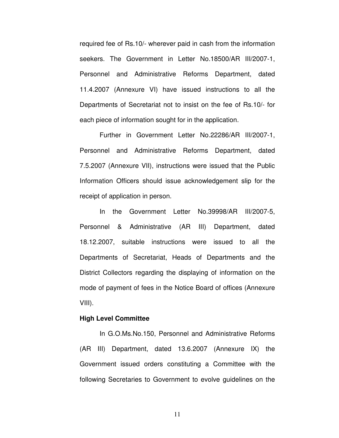required fee of Rs.10/- wherever paid in cash from the information seekers. The Government in Letter No.18500/AR III/2007-1, Personnel and Administrative Reforms Department, dated 11.4.2007 (Annexure VI) have issued instructions to all the Departments of Secretariat not to insist on the fee of Rs.10/- for each piece of information sought for in the application.

 Further in Government Letter No.22286/AR III/2007-1, Personnel and Administrative Reforms Department, dated 7.5.2007 (Annexure VII), instructions were issued that the Public Information Officers should issue acknowledgement slip for the receipt of application in person.

 Personnel & Administrative (AR III) Department, dated 18.12.2007, suitable instructions were issued to all the Departments of Secretariat, Heads of Departments and the District Collectors regarding the displaying of information on the mode of payment of fees in the Notice Board of offices (Annexure In the Government Letter No.39998/AR III/2007-5, VIII).

#### **High Level Committee**

 (AR III) Department, dated 13.6.2007 (Annexure IX) the Government issued orders constituting a Committee with the following Secretaries to Government to evolve guidelines on the In G.O.Ms.No.150, Personnel and Administrative Reforms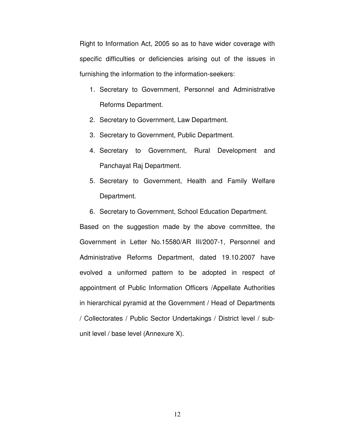Right to Information Act, 2005 so as to have wider coverage with specific difficulties or deficiencies arising out of the issues in furnishing the information to the information-seekers:

- 1. Secretary to Government, Personnel and Administrative Reforms Department.
- 2. Secretary to Government, Law Department.
- 3. Secretary to Government, Public Department.
- 4. Secretary to Government, Rural Development and Panchayat Raj Department.
- 5. Secretary to Government, Health and Family Welfare Department.
- 6. Secretary to Government, School Education Department.

 Based on the suggestion made by the above committee, the Government in Letter No.15580/AR III/2007-1, Personnel and Administrative Reforms Department, dated 19.10.2007 have evolved a uniformed pattern to be adopted in respect of appointment of Public Information Officers /Appellate Authorities in hierarchical pyramid at the Government / Head of Departments / Collectorates / Public Sector Undertakings / District level / sub-unit level / base level (Annexure X).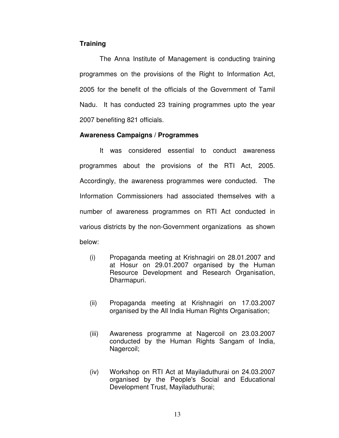## **Training**

 programmes on the provisions of the Right to Information Act, 2005 for the benefit of the officials of the Government of Tamil Nadu. It has conducted 23 training programmes upto the year 2007 benefiting 821 officials. The Anna Institute of Management is conducting training

## **Awareness Campaigns / Programmes**

 programmes about the provisions of the RTI Act, 2005. Accordingly, the awareness programmes were conducted. The Information Commissioners had associated themselves with a number of awareness programmes on RTI Act conducted in various districts by the non-Government organizations as shown It was considered essential to conduct awareness below:

- (i) Propaganda meeting at Krishnagiri on 28.01.2007 and at Hosur on 29.01.2007 organised by the Human Resource Development and Research Organisation, Dharmapuri.
- (ii) Propaganda meeting at Krishnagiri on 17.03.2007 organised by the All India Human Rights Organisation;
- (iii) Awareness programme at Nagercoil on 23.03.2007 conducted by the Human Rights Sangam of India, Nagercoil;
- (iv) Workshop on RTI Act at Mayiladuthurai on 24.03.2007 organised by the People's Social and Educational Development Trust, Mayiladuthurai;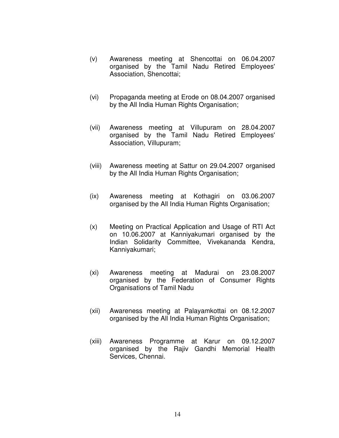- (v) Awareness meeting at Shencottai on 06.04.2007 organised by the Tamil Nadu Retired Employees' Association, Shencottai;
- (vi) Propaganda meeting at Erode on 08.04.2007 organised by the All India Human Rights Organisation;
- (vii) Awareness meeting at Villupuram on 28.04.2007 organised by the Tamil Nadu Retired Employees' Association, Villupuram;
- (viii) Awareness meeting at Sattur on 29.04.2007 organised by the All India Human Rights Organisation;
- (ix) Awareness meeting at Kothagiri on 03.06.2007 organised by the All India Human Rights Organisation;
- (x) Meeting on Practical Application and Usage of RTI Act on 10.06.2007 at Kanniyakumari organised by the Indian Solidarity Committee, Vivekananda Kendra, Kanniyakumari;
- (xi) Awareness meeting at Madurai on 23.08.2007 organised by the Federation of Consumer Rights Organisations of Tamil Nadu
- (xii) Awareness meeting at Palayamkottai on 08.12.2007 organised by the All India Human Rights Organisation;
- (xiii) Awareness Programme at Karur on 09.12.2007 organised by the Rajiv Gandhi Memorial Health Services, Chennai.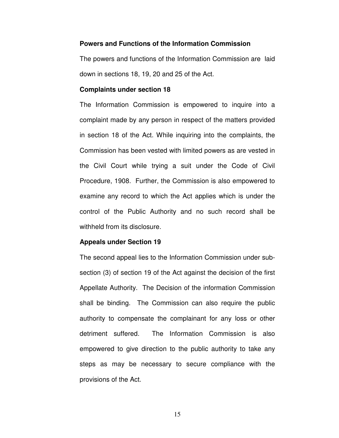#### **Powers and Functions of the Information Commission**

 The powers and functions of the Information Commission are laid down in sections 18, 19, 20 and 25 of the Act.

#### **Complaints under section 18**

 The Information Commission is empowered to inquire into a complaint made by any person in respect of the matters provided in section 18 of the Act. While inquiring into the complaints, the Commission has been vested with limited powers as are vested in the Civil Court while trying a suit under the Code of Civil Procedure, 1908. Further, the Commission is also empowered to examine any record to which the Act applies which is under the control of the Public Authority and no such record shall be withheld from its disclosure.

#### **Appeals under Section 19**

 The second appeal lies to the Information Commission under sub- section (3) of section 19 of the Act against the decision of the first Appellate Authority. The Decision of the information Commission shall be binding. The Commission can also require the public authority to compensate the complainant for any loss or other detriment suffered. empowered to give direction to the public authority to take any steps as may be necessary to secure compliance with the provisions of the Act. The Information Commission is also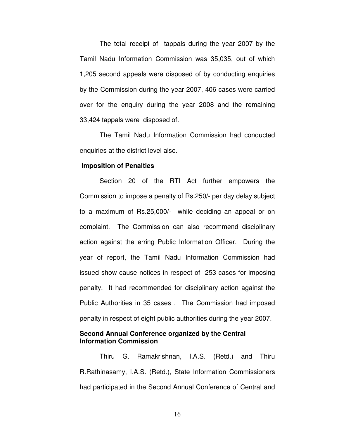Tamil Nadu Information Commission was 35,035, out of which 1,205 second appeals were disposed of by conducting enquiries by the Commission during the year 2007, 406 cases were carried over for the enquiry during the year 2008 and the remaining 33,424 tappals were disposed of. The total receipt of tappals during the year 2007 by the

 enquiries at the district level also. The Tamil Nadu Information Commission had conducted

#### **Imposition of Penalties**

 Section 20 of the RTI Act further empowers the Commission to impose a penalty of Rs.250/- per day delay subject to a maximum of Rs.25,000/- while deciding an appeal or on complaint. The Commission can also recommend disciplinary action against the erring Public Information Officer. During the year of report, the Tamil Nadu Information Commission had issued show cause notices in respect of 253 cases for imposing penalty. It had recommended for disciplinary action against the Public Authorities in 35 cases . The Commission had imposed penalty in respect of eight public authorities during the year 2007.

### **Second Annual Conference organized by the Central Information Commission**

 Thiru G. Ramakrishnan, I.A.S. (Retd.) and Thiru R.Rathinasamy, I.A.S. (Retd.), State Information Commissioners had participated in the Second Annual Conference of Central and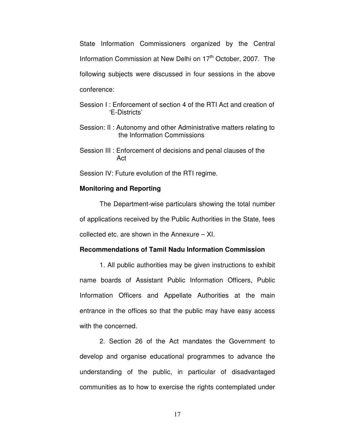State Information Commissioners organized by the Central Information Commission at New Delhi on 17<sup>th</sup> October, 2007. The following subjects were discussed in four sessions in the above conference:

- Session I : Enforcement of section 4 of the RTI Act and creation of 'E-Districts'
- Session: II : Autonomy and other Administrative matters relating to the Information Commissions
- Session III : Enforcement of decisions and penal clauses of the Act

Session IV: Future evolution of the RTI regime.

#### **Monitoring and Reporting**

 The Department-wise particulars showing the total number of applications received by the Public Authorities in the State, fees collected etc. are shown in the Annexure – XI.

### **Recommendations of Tamil Nadu Information Commission**

 1. All public authorities may be given instructions to exhibit name boards of Assistant Public Information Officers, Public Information Officers and Appellate Authorities at the main entrance in the offices so that the public may have easy access with the concerned.

 2. Section 26 of the Act mandates the Government to develop and organise educational programmes to advance the understanding of the public, in particular of disadvantaged communities as to how to exercise the rights contemplated under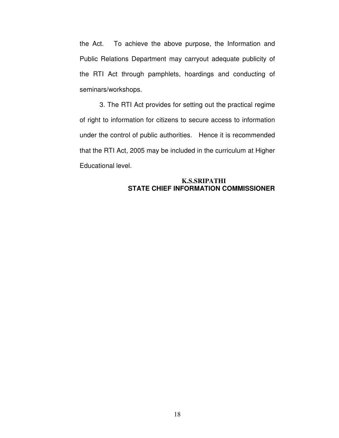the Act. Public Relations Department may carryout adequate publicity of the RTI Act through pamphlets, hoardings and conducting of To achieve the above purpose, the Information and seminars/workshops.

 3. The RTI Act provides for setting out the practical regime of right to information for citizens to secure access to information under the control of public authorities. Hence it is recommended that the RTI Act, 2005 may be included in the curriculum at Higher Educational level.

## **STATE CHIEF INFORMATION COMMISSIONER K.S.SRIPATHI**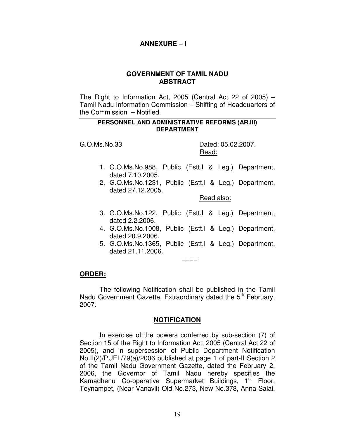## **ANNEXURE – I**

## **GOVERNMENT OF TAMIL NADU ABSTRACT**

 The Right to Information Act, 2005 (Central Act 22 of 2005) – Tamil Nadu Information Commission – Shifting of Headquarters of the Commission – Notified.

### **PERSONNEL AND ADMINISTRATIVE REFORMS (AR.III) DEPARTMENT**

 $G.O.Ms.No.33$ 

Dated: 05.02.2007. Read:

- 1. G.O.Ms.No.988, Public (Estt.I & Leg.) Department, dated 7.10.2005.
- 2. G.O.Ms.No.1231, Public (Estt.I & Leg.) Department, dated 27.12.2005.

Read also:

- 3. G.O.Ms.No.122, Public (Estt.I & Leg.) Department, dated 2.2.2006.
- 4. G.O.Ms.No.1008, Public (Estt.I & Leg.) Department, dated 20.9.2006.
- 5. G.O.Ms.No.1365, Public (Estt.I & Leg.) Department, dated 21.11.2006.

 $====$ 

## **ORDER:**

Nadu Government Gazette, Extraordinary dated the 5<sup>th</sup> February, 2007. The following Notification shall be published in the Tamil

## **NOTIFICATION**

 Section 15 of the Right to Information Act, 2005 (Central Act 22 of 2005), and in supersession of Public Department Notification No.II(2)/PUEL/79(a)/2006 published at page 1 of part-II Section 2 of the Tamil Nadu Government Gazette, dated the February 2, 2006, the Governor of Tamil Nadu hereby specifies the Kamadhenu Co-operative Supermarket Buildings, 1st Floor, Teynampet, (Near Vanavil) Old No.273, New No.378, Anna Salai, In exercise of the powers conferred by sub-section (7) of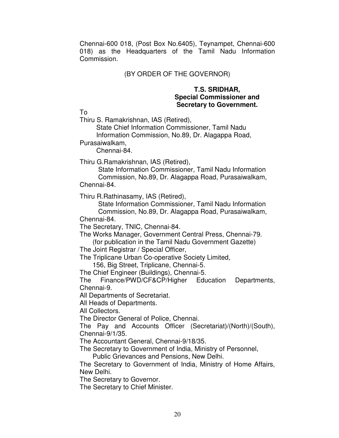Chennai-600 018, (Post Box No.6405), Teynampet, Chennai-600 018) as the Headquarters of the Tamil Nadu Information Commission.

# (BY ORDER OF THE GOVERNOR)

## **T.S. SRIDHAR, Special Commissioner and Secretary to Government.**

To

Thiru S. Ramakrishnan, IAS (Retired),

State Chief Information Commissioner, Tamil Nadu Information Commission, No.89, Dr. Alagappa Road,

Purasaiwalkam,<br>Chennai-84.

Thiru G.Ramakrishnan, IAS (Retired),

State Information Commissioner, Tamil Nadu Information Commission, No.89, Dr. Alagappa Road, Purasaiwalkam, Chennai-84.

Thiru R.Rathinasamy, IAS (Retired),

State Information Commissioner, Tamil Nadu Information Commission, No.89, Dr. Alagappa Road, Purasaiwalkam, Chennai-84.

The Secretary, TNIC, Chennai-84.

 The Works Manager, Government Central Press, Chennai-79. (for publication in the Tamil Nadu Government Gazette)

The Joint Registrar / Special Officer,

The Triplicane Urban Co-operative Society Limited,

156, Big Street, Triplicane, Chennai-5.

The Chief Engineer (Buildings), Chennai-5.

The Finance/PWD/CF&CP/Higher Education Departments, Chennai-9.

All Departments of Secretariat.

All Heads of Departments.

All Collectors.

The Director General of Police, Chennai.

 The Pay and Accounts Officer (Secretariat)/(North)/(South), Chennai-9/1/35.

The Accountant General, Chennai-9/18/35.

The Secretary to Government of India, Ministry of Personnel,

Public Grievances and Pensions, New Delhi.

 The Secretary to Government of India, Ministry of Home Affairs, New Delhi.

The Secretary to Governor.

The Secretary to Chief Minister.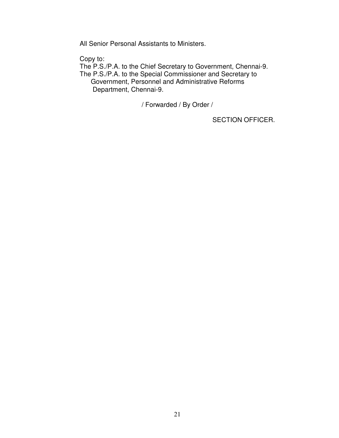All Senior Personal Assistants to Ministers.

Copy to:

The P.S./P.A. to the Chief Secretary to Government, Chennai-9. The P.S./P.A. to the Special Commissioner and Secretary to Government, Personnel and Administrative Reforms Department, Chennai-9.

/ Forwarded / By Order /

SECTION OFFICER.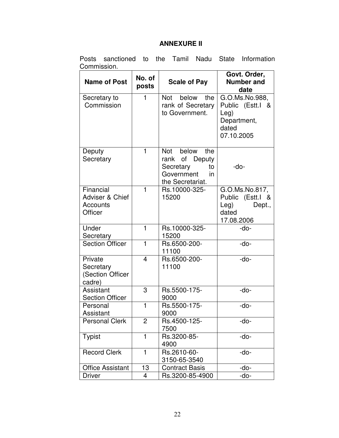## **ANNEXURE II**

|             | Posts sanctioned to the Tamil Nadu State Information |  |  |  |
|-------------|------------------------------------------------------|--|--|--|
| Commission. |                                                      |  |  |  |

| <b>Name of Post</b>                                 | No. of<br>posts | <b>Scale of Pay</b>                                                                              | Govt. Order,<br><b>Number and</b><br>date                                                      |  |
|-----------------------------------------------------|-----------------|--------------------------------------------------------------------------------------------------|------------------------------------------------------------------------------------------------|--|
| Secretary to<br>Commission                          | 1               | below<br>Not<br>the<br>rank of Secretary<br>to Government.                                       | G.O.Ms.No.988,<br>Public (Estt.I<br><u>&amp;</u><br>Leg)<br>Department,<br>dated<br>07.10.2005 |  |
| Deputy<br>Secretary                                 | 1               | Not<br>below<br>the<br>rank of Deputy<br>Secretary<br>to<br>Government<br>in<br>the Secretariat. | -do-                                                                                           |  |
| Financial<br>Adviser & Chief<br>Accounts<br>Officer | 1               | Rs.10000-325-<br>15200                                                                           | G.O.Ms.No.817,<br>Public<br>(Estt.I<br>- &<br>Leg)<br>Dept.,<br>dated<br>17.08.2006            |  |
| Under<br>Secretary                                  | 1               | Rs.10000-325-<br>15200                                                                           | $-do-$                                                                                         |  |
| <b>Section Officer</b>                              | $\mathbf{1}$    | Rs.6500-200-<br>11100                                                                            | -do-                                                                                           |  |
| Private<br>Secretary<br>(Section Officer<br>cadre)  | 4               | Rs.6500-200-<br>11100                                                                            | $-do-$                                                                                         |  |
| Assistant<br><b>Section Officer</b>                 | 3               | Rs.5500-175-<br>9000                                                                             | -do-                                                                                           |  |
| Personal<br>Assistant                               | $\mathbf{1}$    | Rs.5500-175-<br>9000                                                                             | -do-                                                                                           |  |
| <b>Personal Clerk</b>                               | 2               | Rs.4500-125-<br>7500                                                                             | -do-                                                                                           |  |
| <b>Typist</b>                                       | 1               | Rs.3200-85-<br>4900                                                                              | -do-                                                                                           |  |
| <b>Record Clerk</b>                                 | 1               | Rs.2610-60-<br>3150-65-3540                                                                      | -do-                                                                                           |  |
| <b>Office Assistant</b>                             | 13              | <b>Contract Basis</b>                                                                            | -do-                                                                                           |  |
| <b>Driver</b>                                       | 4               | Rs.3200-85-4900                                                                                  | -do-                                                                                           |  |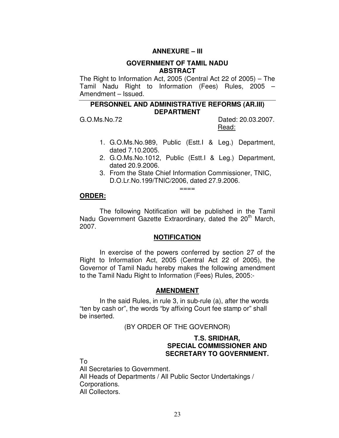## **ANNEXURE – III**

### **GOVERNMENT OF TAMIL NADU ABSTRACT**

 The Right to Information Act, 2005 (Central Act 22 of 2005) – The Tamil Nadu Right to Information (Fees) Rules, 2005 – Amendment – Issued.

## **PERSONNEL AND ADMINISTRATIVE REFORMS (AR.III) DEPARTMENT**

 $G. O.Ms.No.72$ 

Dated: 20.03.2007. Read:

- 1. G.O.Ms.No.989, Public (Estt.I & Leg.) Department, dated 7.10.2005.
- 2. G.O.Ms.No.1012, Public (Estt.I & Leg.) Department, dated 20.9.2006.
- 3. From the State Chief Information Commissioner, TNIC, D.O.Lr.No.199/TNIC/2006, dated 27.9.2006.

#### $=$

## **ORDER:**

Nadu Government Gazette Extraordinary, dated the 20<sup>th</sup> March, The following Notification will be published in the Tamil 2007.

### **NOTIFICATION**

 Right to Information Act, 2005 (Central Act 22 of 2005), the Governor of Tamil Nadu hereby makes the following amendment to the Tamil Nadu Right to Information (Fees) Rules, 2005:- In exercise of the powers conferred by section 27 of the

### **AMENDMENT**

 "ten by cash or", the words "by affixing Court fee stamp or" shall be inserted. In the said Rules, in rule 3, in sub-rule (a), after the words

### (BY ORDER OF THE GOVERNOR)

## **T.S. SRIDHAR, SPECIAL COMMISSIONER AND SECRETARY TO GOVERNMENT.**

To

 All Secretaries to Government. All Heads of Departments / All Public Sector Undertakings / All Collectors. Corporations.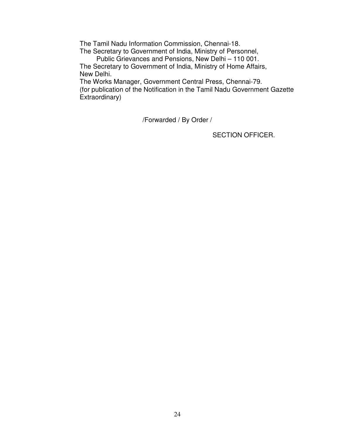The Tamil Nadu Information Commission, Chennai-18.

 The Secretary to Government of India, Ministry of Personnel, Public Grievances and Pensions, New Delhi – 110 001.

 The Secretary to Government of India, Ministry of Home Affairs, New Delhi.

 The Works Manager, Government Central Press, Chennai-79. (for publication of the Notification in the Tamil Nadu Government Gazette Extraordinary)

/Forwarded / By Order /

SECTION OFFICER.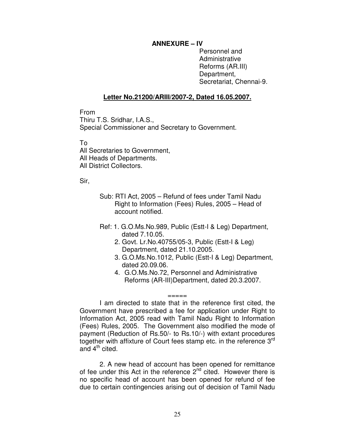## **ANNEXURE – IV**

 Personnel and Reforms (AR.III) Secretariat, Chennai-9. Administrative Department,

## **Letter No.21200/ARIII/2007-2, Dated 16.05.2007.**

From

 Thiru T.S. Sridhar, I.A.S., Special Commissioner and Secretary to Government.

To

 All Secretaries to Government, All Heads of Departments. All District Collectors.

Sir,

- Sub: RTI Act, 2005 Refund of fees under Tamil Nadu Right to Information (Fees) Rules, 2005 – Head of account notified.
- Ref: 1. G.O.Ms.No.989, Public (Estt-I & Leg) Department, dated 7.10.05.
	- 2. Govt. Lr.No.40755/05-3, Public (Estt-I & Leg) Department, dated 21.10.2005.
	- 3. G.O.Ms.No.1012, Public (Estt-I & Leg) Department, dated [20.09.06](https://20.09.06).
	- 4. [G.O.Ms.No.72,](https://G.O.Ms.No.72) Personnel and Administrative Reforms (AR-III)Department, dated 20.3.2007.

 Government have prescribed a fee for application under Right to Information Act, 2005 read with Tamil Nadu Right to Information (Fees) Rules, 2005. The Government also modified the mode of payment (Reduction of Rs.50/- to Rs.10/-) with extant procedures together with affixture of Court fees stamp etc. in the reference  $3<sup>rd</sup>$ and 4<sup>th</sup> cited. I am directed to state that in the reference first cited, the

=====

of fee under this Act in the reference 2<sup>nd</sup> cited. However there is no specific head of account has been opened for refund of fee due to certain contingencies arising out of decision of Tamil Nadu 2. A new head of account has been opened for remittance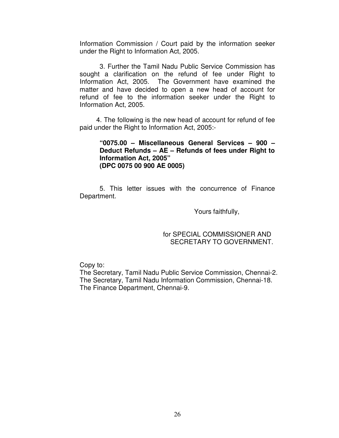Information Commission / Court paid by the information seeker under the Right to Information Act, 2005.

 sought a clarification on the refund of fee under Right to Information Act, 2005. The Government have examined the matter and have decided to open a new head of account for refund of fee to the information seeker under the Right to Information Act, 2005. 3. Further the Tamil Nadu Public Service Commission has

 paid under the Right to Information Act, 2005:- 4. The following is the new head of account for refund of fee

## **"0075.00 – Miscellaneous General Services – 900 – Deduct Refunds – AE – Refunds of fees under Right to Information Act, 2005" (DPC 0075 00 900 AE 0005)**

 5. This letter issues with the concurrence of Finance Department. Department. Yours faithfully,

## for SPECIAL COMMISSIONER AND SECRETARY TO GOVERNMENT.

Copy to:

 The Secretary, Tamil Nadu Public Service Commission, Chennai-2. The Secretary, Tamil Nadu Information Commission, Chennai-18. The Finance Department, Chennai-9.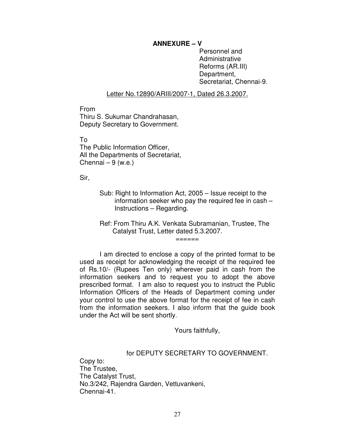## **ANNEXURE – V**

 Personnel and Reforms (AR.III) Secretariat, Chennai-9. Administrative Department,

## Letter No.12890/ARIII/2007-1, Dated 26.3.2007.

 Thiru S. Sukumar Chandrahasan, Deputy Secretary to Government. From

To

 The Public Information Officer, All the Departments of Secretariat, Chennai – 9 (w.e.)

Sir,

 Sub: Right to Information Act, 2005 – Issue receipt to the information seeker who pay the required fee in cash – Instructions – Regarding.

 Ref: From Thiru A.K. Venkata Subramanian, Trustee, The Catalyst Trust, Letter dated 5.3.2007.  $=$ 

 I am directed to enclose a copy of the printed format to be used as receipt for acknowledging the receipt of the required fee of Rs.10/- (Rupees Ten only) wherever paid in cash from the information seekers and to request you to adopt the above prescribed format. I am also to request you to instruct the Public Information Officers of the Heads of Department coming under your control to use the above format for the receipt of fee in cash from the information seekers. I also inform that the guide book under the Act will be sent shortly.

Yours faithfully,

### for DEPUTY SECRETARY TO GOVERNMENT.

 Copy to: The Trustee, The Catalyst Trust, No.3/242, Rajendra Garden, Vettuvankeni, Chennai-41.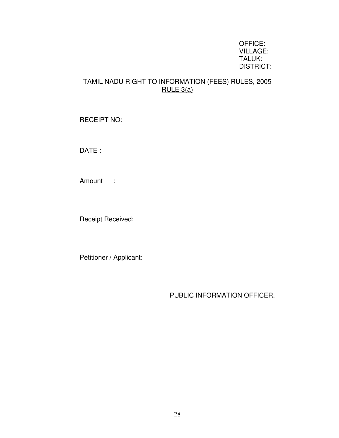## OFFICE: VILLAGE: TALUK: DISTRICT:

# TAMIL NADU RIGHT TO INFORMATION (FEES) RULES, 2005 RULE 3(a)

RECEIPT NO:

DATE :

Amount :

Receipt Received:

Petitioner / Applicant:

PUBLIC INFORMATION OFFICER.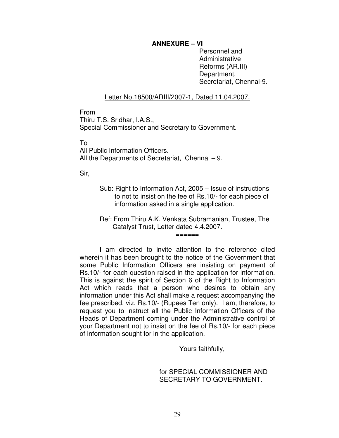## **ANNEXURE – VI**

 Personnel and Reforms (AR.III) Secretariat, Chennai-9. Administrative Department,

## Letter No.18500/ARIII/2007-1, Dated 11.04.2007.

From

 Thiru T.S. Sridhar, I.A.S., Special Commissioner and Secretary to Government.

To

 All Public Information Officers. All the Departments of Secretariat, Chennai – 9.

Sir,

- Sub: Right to Information Act, 2005 Issue of instructions to not to insist on the fee of Rs.10/- for each piece of information asked in a single application.
- Ref: From Thiru A.K. Venkata Subramanian, Trustee, The Catalyst Trust, Letter dated 4.4.2007. ======

 wherein it has been brought to the notice of the Government that some Public Information Officers are insisting on payment of Rs.10/- for each question raised in the application for information. This is against the spirit of Section 6 of the Right to Information Act which reads that a person who desires to obtain any information under this Act shall make a request accompanying the fee prescribed, viz. Rs.10/- (Rupees Ten only). I am, therefore, to request you to instruct all the Public Information Officers of the Heads of Department coming under the Administrative control of your Department not to insist on the fee of Rs.10/- for each piece of information sought for in the application. I am directed to invite attention to the reference cited

Yours faithfully,

## for SPECIAL COMMISSIONER AND SECRETARY TO GOVERNMENT.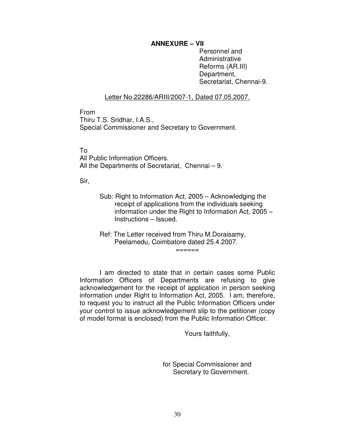## **ANNEXURE – VII**

 Personnel and Reforms (AR.III) Secretariat, Chennai-9. Administrative Department,

## Letter No.22286/ARIII/2007-1, Dated 07.05.2007.

 Thiru T.S. Sridhar, I.A.S., Special Commissioner and Secretary to Government. From

## To

 All Public Information Officers. All the Departments of Secretariat, Chennai – 9.

Sir,

 Sub: Right to Information Act, 2005 – Acknowledging the receipt of applications from the individuals seeking information under the Right to Information Act, 2005 – Instructions – Issued.

======

 Ref: The Letter received from Thiru M.Doraisamy, Peelamedu, Coimbatore dated 25.4.2007.

 Information Officers of Departments are refusing to give acknowledgement for the receipt of application in person seeking information under Right to Information Act, 2005. I am, therefore, to request you to instruct all the Public Information Officers under your control to issue acknowledgement slip to the petitioner (copy of model format is enclosed) from the Public Information Officer. I am directed to state that in certain cases some Public

Yours faithfully,

 for Special Commissioner and Secretary to Government.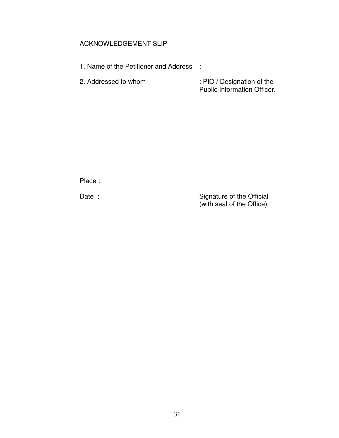# <u>ACKNOWLEDGEMENT SLIP</u>

- 1. Name of the Petitioner and Address :
- 2. Addressed to whom 2. Addressed to whom : PIO / Designation of the Public Information Officer.

Place :

Date :

Date : Signature of the Official (with seal of the Office)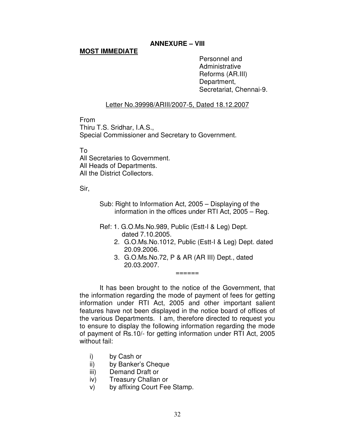# **ANNEXURE – VIII**

# **MOST IMMEDIATE**

 Personnel and Reforms (AR.III) Secretariat, Chennai-9. **Administrative** Department,

# Letter No.39998/ARIII/2007-5, Dated 18.12.2007

From

 Thiru T.S. Sridhar, I.A.S., Special Commissioner and Secretary to Government.

To

 All Secretaries to Government. All Heads of Departments.

All the District Collectors.

Sir,

 Sub: Right to Information Act, 2005 – Displaying of the information in the offices under RTI Act, 2005 – Reg.

- Ref: 1. G.O.Ms.No.989, Public (Estt-I & Leg) Dept. dated 7.10.2005.
	- 2. G.O.Ms.No.1012, Public (Estt-I & Leg) Dept. dated 20.09.2006.
	- 3. [G.O.Ms.No.72](https://G.O.Ms.No.72), P & AR (AR III) Dept., dated 20.03.2007. ======

 the information regarding the mode of payment of fees for getting information under RTI Act, 2005 and other important salient features have not been displayed in the notice board of offices of the various Departments. I am, therefore directed to request you to ensure to display the following information regarding the mode of payment of Rs.10/- for getting information under RTI Act, 2005 without fail: It has been brought to the notice of the Government, that

- $i)$ by Cash or
- ii) by Banker's Cheque
- iii) Demand Draft or
- iv) Treasury Challan or
- V) by affixing Court Fee Stamp.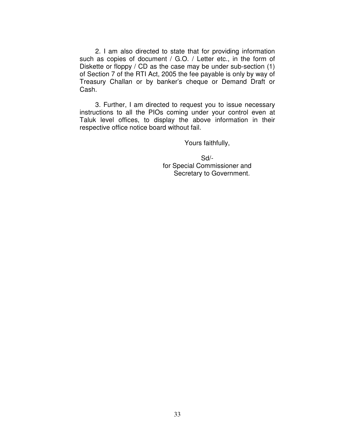such as copies of document / G.O. / Letter etc., in the form of Diskette or floppy / CD as the case may be under sub-section (1) of Section 7 of the RTI Act, 2005 the fee payable is only by way of Treasury Challan or by banker's cheque or Demand Draft or Cash. 2. I am also directed to state that for providing information

 instructions to all the PIOs coming under your control even at Taluk level offices, to display the above information in their respective office notice board without fail. 3. Further, I am directed to request you to issue necessary

Yours faithfully,

 for Special Commissioner and Sd/- Secretary to Government.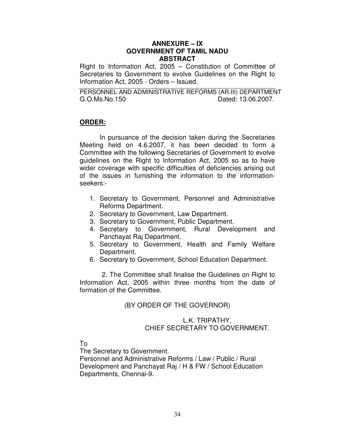## **ANNEXURE – IX GOVERNMENT OF TAMIL NADU ABSTRACT**

 Right to Information Act, 2005 – Constitution of Committee of Secretaries to Government to evolve Guidelines on the Right to Information Act, 2005 - Orders – Issued.

 PERSONNEL AND ADMINISTRATIVE REFORMS (AR.III) DEPARTMENT G.O.Ms.No.150 Dated: 13.06.2007.

## **ORDER:**

 Meeting held on 4.6.2007, it has been decided to form a Committee with the following Secretaries of Government to evolve guidelines on the Right to Information Act, 2005 so as to have wider coverage with specific difficulties of deficiencies arising out of the issues in furnishing the information to the information-In pursuance of the decision taken during the Secretaries seekers:-

- 1. Secretary to Government, Personnel and Administrative Reforms Department.
- 2. Secretary to Government, Law Department.
- 3. Secretary to Government, Public Department.
- 4. Secretary to Government, Rural Development and Panchayat Raj Department.
- 5. Secretary to Government, Health and Family Welfare Department.
- 6. Secretary to Government, School Education Department.

 Information Act, 2005 within three months from the date of formation of the Committee. 2. The Committee shall finalise the Guidelines on Right to

# (BY ORDER OF THE GOVERNOR)

## CHIEF SECRETARY TO GOVERNMENT. L.K. TRIPATHY,

To

The Secretary to Government.

 Personnel and Administrative Reforms / Law / Public / Rural Development and Panchayat Raj / H & FW / School Education Departments, Chennai-9.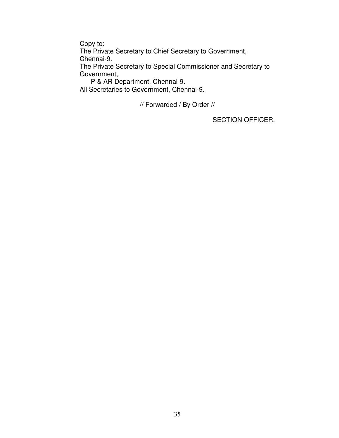Copy to:

The Private Secretary to Chief Secretary to Government, Chennai-9.

 The Private Secretary to Special Commissioner and Secretary to Government, Government, P & AR Department, Chennai-9.

All Secretaries to Government, Chennai-9.

// Forwarded / By Order //

SECTION OFFICER.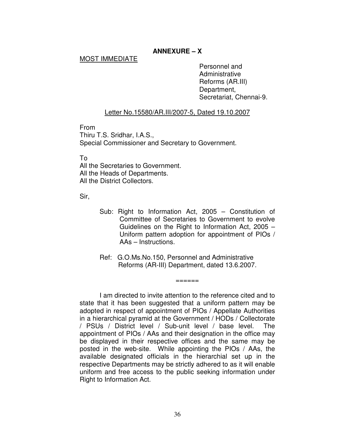# **ANNEXURE – X**

## MOST IMMEDIATE

 Personnel and Reforms (AR.III) Secretariat, Chennai-9. Administrative Department,

## Letter No.15580/AR.III/2007-5, Dated 19.10.2007

From

 Thiru T.S. Sridhar, I.A.S., Special Commissioner and Secretary to Government.

To

 All the Secretaries to Government. All the Heads of Departments. All the District Collectors.

Sir,

- Sub: Right to Information Act, 2005 Constitution of Committee of Secretaries to Government to evolve Guidelines on the Right to Information Act, 2005 – Uniform pattern adoption for appointment of PIOs / AAs – Instructions.
- Ref: G.O.Ms.No.150, Personnel and Administrative Reforms (AR-III) Department, dated 13.6.2007.

 $=$ 

 I am directed to invite attention to the reference cited and to state that it has been suggested that a uniform pattern may be adopted in respect of appointment of PIOs / Appellate Authorities in a hierarchical pyramid at the Government / HODs / Collectorate / PSUs / District level / Sub-unit level / base level. The appointment of PIOs / AAs and their designation in the office may be displayed in their respective offices and the same may be posted in the web-site. While appointing the PIOs / AAs, the available designated officials in the hierarchial set up in the respective Departments may be strictly adhered to as it will enable uniform and free access to the public seeking information under Right to Information Act.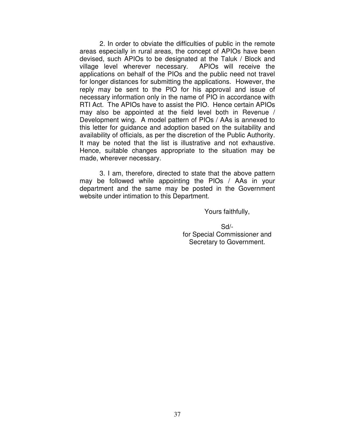2. In order to obviate the difficulties of public in the remote areas especially in rural areas, the concept of APIOs have been devised, such APIOs to be designated at the Taluk / Block and village level wherever necessary. APIOs will receive the applications on behalf of the PIOs and the public need not travel for longer distances for submitting the applications. However, the reply may be sent to the PIO for his approval and issue of necessary information only in the name of PIO in accordance with RTI Act. The APIOs have to assist the PIO. Hence certain APIOs may also be appointed at the field level both in Revenue / Development wing. A model pattern of PIOs / AAs is annexed to this letter for guidance and adoption based on the suitability and availability of officials, as per the discretion of the Public Authority. It may be noted that the list is illustrative and not exhaustive. Hence, suitable changes appropriate to the situation may be made, wherever necessary.

 3. I am, therefore, directed to state that the above pattern may be followed while appointing the PIOs / AAs in your department and the same may be posted in the Government website under intimation to this Department.

Yours faithfully,

 for Special Commissioner and Secretary to Government. Sd/-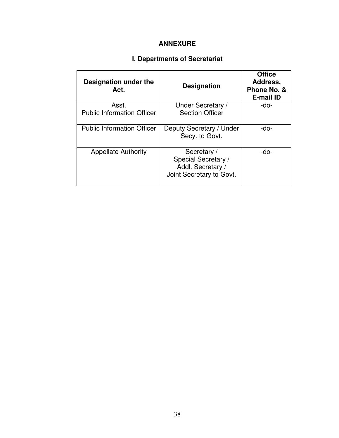# **ANNEXURE**

### **I. Departments of Secretariat**

| Designation under the<br>Act.     | <b>Designation</b>                                                                  | <b>Office</b><br>Address,<br>Phone No. &<br><b>E-mail ID</b> |
|-----------------------------------|-------------------------------------------------------------------------------------|--------------------------------------------------------------|
| Asst.                             | Under Secretary /                                                                   | -do-                                                         |
| <b>Public Information Officer</b> | <b>Section Officer</b>                                                              |                                                              |
| <b>Public Information Officer</b> | Deputy Secretary / Under<br>Secy. to Govt.                                          | -do-                                                         |
| <b>Appellate Authority</b>        | Secretary /<br>Special Secretary /<br>Addl. Secretary /<br>Joint Secretary to Govt. | -do-                                                         |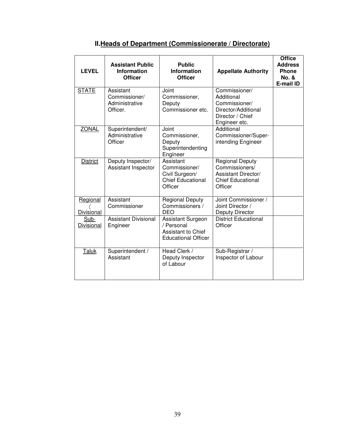| <b>LEVEL</b>              | <b>Assistant Public</b><br><b>Information</b><br><b>Officer</b> | <b>Public</b><br><b>Information</b><br><b>Officer</b>                               | <b>Appellate Authority</b>                                                                               | <b>Office</b><br><b>Address</b><br>Phone<br><b>No. &amp;</b><br><b>E-mail ID</b> |
|---------------------------|-----------------------------------------------------------------|-------------------------------------------------------------------------------------|----------------------------------------------------------------------------------------------------------|----------------------------------------------------------------------------------|
| <b>STATE</b>              | Assistant<br>Commissioner/<br>Administrative<br>Officer.        | Joint<br>Commissioner,<br>Deputy<br>Commissioner etc.                               | Commissioner/<br>Additional<br>Commissioner/<br>Director/Additional<br>Director / Chief<br>Engineer etc. |                                                                                  |
| <b>ZONAL</b>              | Superintendent/<br>Administrative<br>Officer                    | Joint<br>Commissioner,<br>Deputy<br>Superintendenting<br>Engineer                   | Additional<br>Commissioner/Super-<br>intending Engineer                                                  |                                                                                  |
| <b>District</b>           | Deputy Inspector/<br>Assistant Inspector                        | Assistant<br>Commissioner/<br>Civil Surgeon/<br><b>Chief Educational</b><br>Officer | <b>Regional Deputy</b><br>Commissioners/<br>Assistant Director/<br><b>Chief Educational</b><br>Officer   |                                                                                  |
| Regional<br>Divisional    | Assistant<br>Commissioner                                       | <b>Regional Deputy</b><br>Commissioners /<br><b>DEO</b>                             | Joint Commissioner /<br>Joint Director /<br>Deputy Director                                              |                                                                                  |
| Sub-<br><b>Divisional</b> | <b>Assistant Divisional</b><br>Engineer                         | Assistant Surgeon<br>/ Personal<br>Assistant to Chief<br><b>Educational Officer</b> | <b>District Educational</b><br>Officer                                                                   |                                                                                  |
| <b>Taluk</b>              | Superintendent /<br>Assistant                                   | Head Clerk /<br>Deputy Inspector<br>of Labour                                       | Sub-Registrar /<br>Inspector of Labour                                                                   |                                                                                  |

### **II.Heads of Department (Commissionerate / Directorate)**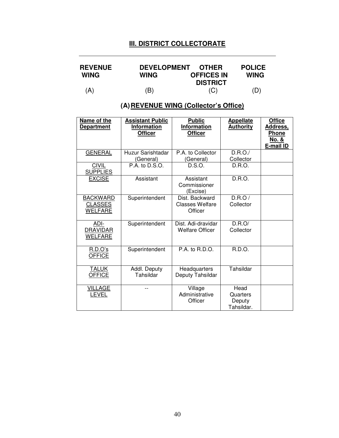### **III. DISTRICT COLLECTORATE**

| <b>REVENUE</b> | WING | DEVELOPMENT OTHER      | <b>POLICE</b> |
|----------------|------|------------------------|---------------|
| <b>WING</b>    |      | <b>OFFICES IN</b>      | <b>WING</b>   |
| (A)            | (B)  | <b>DISTRICT</b><br>(C) | (D)           |

 **(A)REVENUE WING (Collector's Office)** 

| Name of the<br><b>Department</b>                    | <b>Assistant Public</b><br><b>Information</b><br><b>Officer</b> | <b>Public</b><br>Information<br><b>Officer</b>      | <b>Appellate</b><br><b>Authority</b>     | <b>Office</b><br>Address,<br><b>Phone</b><br>No. &<br>E-mail ID |
|-----------------------------------------------------|-----------------------------------------------------------------|-----------------------------------------------------|------------------------------------------|-----------------------------------------------------------------|
| <b>GENERAL</b>                                      | Huzur Sarishtadar<br>(General)                                  | P.A. to Collector<br>(General)                      | D.R.O./<br>Collector                     |                                                                 |
| <b>CIVIL</b><br><b>SUPPLIES</b>                     | P.A. to D.S.O.                                                  | D.S.O.                                              | D.R.O.                                   |                                                                 |
| <b>EXCISE</b>                                       | Assistant                                                       | Assistant<br>Commissioner<br>(Excise)               | D.R.O.                                   |                                                                 |
| <b>BACKWARD</b><br><b>CLASSES</b><br><b>WELFARE</b> | Superintendent                                                  | Dist. Backward<br><b>Classes Welfare</b><br>Officer | D.R.O/<br>Collector                      |                                                                 |
| ADI-<br><b>DRAVIDAR</b><br>WELFARE                  | Superintendent                                                  | Dist. Adi-dravidar<br><b>Welfare Officer</b>        | D.R.O/<br>Collector                      |                                                                 |
| R.D.O's<br><b>OFFICE</b>                            | Superintendent                                                  | P.A. to R.D.O.                                      | R.D.O.                                   |                                                                 |
| <b>TALUK</b><br><b>OFFICE</b>                       | Addl. Deputy<br>Tahsildar                                       | Headquarters<br>Deputy Tahsildar                    | Tahsildar                                |                                                                 |
| <b>VILLAGE</b><br><b>LEVEL</b>                      |                                                                 | Village<br>Administrative<br>Officer                | Head<br>Quarters<br>Deputy<br>Tahsildar. |                                                                 |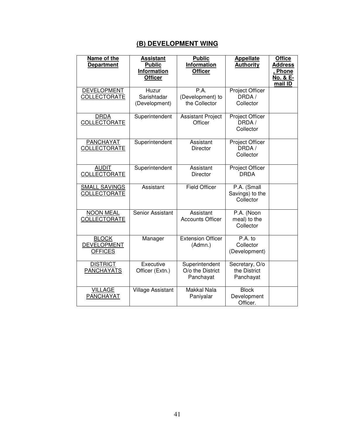### <u>**(B) DEVELOPMENT WING</u>**</u>

| Name of the<br><b>Department</b>                     | <b>Assistant</b><br><b>Public</b><br><b>Information</b><br><b>Officer</b> | <b>Public</b><br>Information<br><b>Officer</b>  | <b>Appellate</b><br><b>Authority</b>         | <b>Office</b><br><b>Address</b><br><u>, Phone</u><br><u>No. &amp; E-</u><br>mail ID |
|------------------------------------------------------|---------------------------------------------------------------------------|-------------------------------------------------|----------------------------------------------|-------------------------------------------------------------------------------------|
| <b>DEVELOPMENT</b><br>COLLECTORATE                   | Huzur<br>Sarishtadar<br>(Development)                                     | P.A.<br>(Development) to<br>the Collector       | <b>Project Officer</b><br>DRDA/<br>Collector |                                                                                     |
| <b>DRDA</b><br>COLLECTORATE                          | Superintendent                                                            | <b>Assistant Project</b><br>Officer             | Project Officer<br>DRDA /<br>Collector       |                                                                                     |
| <b>PANCHAYAT</b><br>COLLECTORATE                     | Superintendent                                                            | Assistant<br><b>Director</b>                    | Project Officer<br>DRDA/<br>Collector        |                                                                                     |
| <b>AUDIT</b><br>COLLECTORATE                         | Superintendent                                                            | Assistant<br><b>Director</b>                    | Project Officer<br><b>DRDA</b>               |                                                                                     |
| <b>SMALL SAVINGS</b><br>COLLECTORATE                 | Assistant                                                                 | <b>Field Officer</b>                            | P.A. (Small<br>Savings) to the<br>Collector  |                                                                                     |
| <b>NOON MEAL</b><br>COLLECTORATE                     | Senior Assistant                                                          | Assistant<br><b>Accounts Officer</b>            | P.A. (Noon<br>meal) to the<br>Collector      |                                                                                     |
| <b>BLOCK</b><br><b>DEVELOPMENT</b><br><b>OFFICES</b> | Manager                                                                   | <b>Extension Officer</b><br>(Admn.)             | $P.A.$ to<br>Collector<br>(Development)      |                                                                                     |
| <b>DISTRICT</b><br>PANCHAYATS                        | Executive<br>Officer (Extn.)                                              | Superintendent<br>O/o the District<br>Panchayat | Secretary, O/o<br>the District<br>Panchayat  |                                                                                     |
| <b>VILLAGE</b><br>PANCHAYAT                          | <b>Village Assistant</b>                                                  | <b>Makkal Nala</b><br>Paniyalar                 | <b>Block</b><br>Development<br>Officer.      |                                                                                     |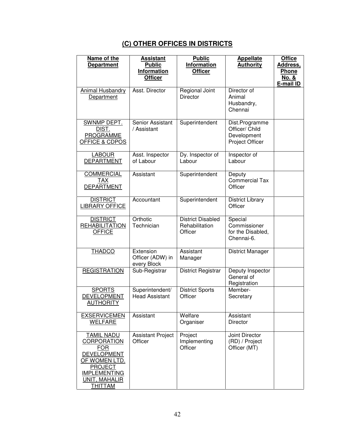# **(C) OTHER OFFICES IN DISTRICTS**

| Name of the<br><b>Department</b>                                                                                                                                                | <b>Assistant</b><br><b>Public</b><br><b>Information</b><br><b>Officer</b> | <b>Public</b><br>Information<br><b>Officer</b>        | <b>Appellate</b><br><b>Authority</b>                               | <b>Office</b><br>Address,<br><b>Phone</b><br>No. &<br>E-mail ID |
|---------------------------------------------------------------------------------------------------------------------------------------------------------------------------------|---------------------------------------------------------------------------|-------------------------------------------------------|--------------------------------------------------------------------|-----------------------------------------------------------------|
| Animal Husbandry<br>Department                                                                                                                                                  | Asst. Director                                                            | Regional Joint<br><b>Director</b>                     | Director of<br>Animal<br>Husbandry,<br>Chennai                     |                                                                 |
| SWNMP DEPT.<br>DIST.<br><b>PROGRAMME</b><br><b>OFFICE &amp; CDPOS</b>                                                                                                           | Senior Assistant<br>/ Assistant                                           | Superintendent                                        | Dist.Programme<br>Officer/ Child<br>Development<br>Project Officer |                                                                 |
| <b>LABOUR</b><br><b>DEPARTMENT</b>                                                                                                                                              | Asst. Inspector<br>of Labour                                              | Dy. Inspector of<br>Labour                            | Inspector of<br>Labour                                             |                                                                 |
| <b>COMMERCIAL</b><br><b>TAX</b><br><b>DEPARTMENT</b>                                                                                                                            | Assistant                                                                 | Superintendent                                        | Deputy<br><b>Commercial Tax</b><br>Officer                         |                                                                 |
| <b>DISTRICT</b><br><b>LIBRARY OFFICE</b>                                                                                                                                        | Accountant                                                                | Superintendent                                        | <b>District Library</b><br>Officer                                 |                                                                 |
| <b>DISTRICT</b><br><b>REHABILITATION</b><br><b>OFFICE</b>                                                                                                                       | Orthotic<br>Technician                                                    | <b>District Disabled</b><br>Rehabilitation<br>Officer | Special<br>Commissioner<br>for the Disabled,<br>Chennai-6.         |                                                                 |
| <b>THADCO</b>                                                                                                                                                                   | Extension<br>Officer (ADW) in<br>every Block                              | Assistant<br>Manager                                  | <b>District Manager</b>                                            |                                                                 |
| <b>REGISTRATION</b>                                                                                                                                                             | Sub-Registrar                                                             | District Registrar                                    | Deputy Inspector<br>General of<br>Registration                     |                                                                 |
| <b>SPORTS</b><br>DEVELOPMENT<br><b>AUTHORITY</b>                                                                                                                                | Superintendent/<br><b>Head Assistant</b>                                  | <b>District Sports</b><br>Officer                     | Member-<br>Secretary                                               |                                                                 |
| <b>EXSERVICEMEN</b><br><b>WELFARE</b>                                                                                                                                           | Assistant                                                                 | Welfare<br>Organiser                                  | Assistant<br><b>Director</b>                                       |                                                                 |
| <b>TAMIL NADU</b><br><b>CORPORATION</b><br><b>FOR</b><br><b>DEVELOPMENT</b><br><b>OF WOMEN LTD.</b><br>PROJECT<br><b>IMPLEMENTING</b><br><b>UNIT, MAHALIR</b><br><b>THITTAM</b> | <b>Assistant Project</b><br>Officer                                       | Project<br>Implementing<br>Officer                    | Joint Director<br>(RD) / Project<br>Officer (MT)                   |                                                                 |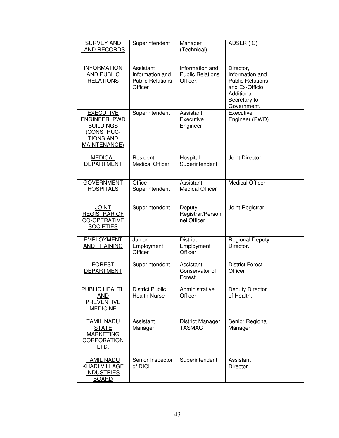| <b>SURVEY AND</b><br><b>LAND RECORDS</b>                                                                       | Superintendent                                                     | Manager<br>(Technical)                                 | ADSLR (IC)                                                                                                             |  |
|----------------------------------------------------------------------------------------------------------------|--------------------------------------------------------------------|--------------------------------------------------------|------------------------------------------------------------------------------------------------------------------------|--|
| <b>INFORMATION</b><br><b>AND PUBLIC</b><br><b>RELATIONS</b>                                                    | Assistant<br>Information and<br><b>Public Relations</b><br>Officer | Information and<br><b>Public Relations</b><br>Officer. | Director,<br>Information and<br><b>Public Relations</b><br>and Ex-Officio<br>Additional<br>Secretary to<br>Government. |  |
| <b>EXECUTIVE</b><br><b>ENGINEER, PWD</b><br><b>BUILDINGS</b><br>(CONSTRUC-<br><b>TIONS AND</b><br>MAINTENANCE) | Superintendent                                                     | Assistant<br>Executive<br>Engineer                     | Executive<br>Engineer (PWD)                                                                                            |  |
| <b>MEDICAL</b><br><b>DEPARTMENT</b>                                                                            | Resident<br><b>Medical Officer</b>                                 | Hospital<br>Superintendent                             | Joint Director                                                                                                         |  |
| <b>GOVERNMENT</b><br><b>HOSPITALS</b>                                                                          | Office<br>Superintendent                                           | Assistant<br><b>Medical Officer</b>                    | <b>Medical Officer</b>                                                                                                 |  |
| <b>JOINT</b><br><b>REGISTRAR OF</b><br><b>CO-OPERATIVE</b><br><b>SOCIETIES</b>                                 | Superintendent                                                     | Deputy<br>Registrar/Person<br>nel Officer              | Joint Registrar                                                                                                        |  |
| <b>EMPLOYMENT</b><br>AND TRAINING                                                                              | Junior<br>Employment<br>Officer                                    | <b>District</b><br>Employment<br>Officer               | <b>Regional Deputy</b><br>Director.                                                                                    |  |
| <b>FOREST</b><br><b>DEPARTMENT</b>                                                                             | Superintendent                                                     | Assistant<br>Conservator of<br>Forest                  | <b>District Forest</b><br>Officer                                                                                      |  |
| <b>PUBLIC HEALTH</b><br>AND<br><b>PREVENTIVE</b><br><b>MEDICINE</b>                                            | <b>District Public</b><br><b>Health Nurse</b>                      | Administrative<br>Officer                              | Deputy Director<br>of Health.                                                                                          |  |
| <b>TAMIL NADU</b><br><b>STATE</b><br><b>MARKETING</b><br><b>CORPORATION</b><br><u>LTD.</u>                     | Assistant<br>Manager                                               | District Manager,<br><b>TASMAC</b>                     | Senior Regional<br>Manager                                                                                             |  |
| <b>TAMIL NADU</b><br><b>KHADI VILLAGE</b><br><b>INDUSTRIES</b><br><b>BOARD</b>                                 | Senior Inspector<br>of DICI                                        | Superintendent                                         | Assistant<br><b>Director</b>                                                                                           |  |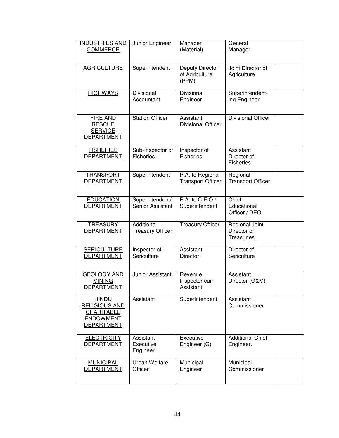| <b>INDUSTRIES AND</b><br>COMMERCE                                                                  | Junior Engineer                       | Manager<br>(Material)                        | General<br>Manager                           |  |
|----------------------------------------------------------------------------------------------------|---------------------------------------|----------------------------------------------|----------------------------------------------|--|
| <b>AGRICULTURE</b>                                                                                 | Superintendent                        | Deputy Director<br>of Agriculture<br>(PPM)   | Joint Director of<br>Agriculture             |  |
| <b>HIGHWAYS</b>                                                                                    | Divisional<br>Accountant              | Divisional<br>Engineer                       | Superintendent-<br>ing Engineer              |  |
| <b>FIRE AND</b><br><b>RESCUE</b><br><b>SERVICE</b><br><b>DEPARTMENT</b>                            | <b>Station Officer</b>                | Assistant<br><b>Divisional Officer</b>       | <b>Divisional Officer</b>                    |  |
| <b>FISHERIES</b><br><b>DEPARTMENT</b>                                                              | Sub-Inspector of<br><b>Fisheries</b>  | Inspector of<br><b>Fisheries</b>             | Assistant<br>Director of<br><b>Fisheries</b> |  |
| <b>TRANSPORT</b><br><b>DEPARTMENT</b>                                                              | Superintendent                        | P.A. to Regional<br><b>Transport Officer</b> | Regional<br><b>Transport Officer</b>         |  |
| <b>EDUCATION</b><br><b>DEPARTMENT</b>                                                              | Superintendent/<br>Senior Assistant   | P.A. to C.E.O./<br>Superintendent            | Chief<br>Educational<br>Officer / DEO        |  |
| <b>TREASURY</b><br><b>DEPARTMENT</b>                                                               | Additional<br><b>Treasury Officer</b> | <b>Treasury Officer</b>                      | Regional Joint<br>Director of<br>Treasuries. |  |
| <b>SERICULTURE</b><br><b>DEPARTMENT</b>                                                            | Inspector of<br>Sericulture           | Assistant<br><b>Director</b>                 | Director of<br>Sericulture                   |  |
| <b>GEOLOGY AND</b><br><b>MINING</b><br><b>DEPARTMENT</b>                                           | Junior Assistant                      | Revenue<br>Inspector cum<br>Assistant        | Assistant<br>Director (G&M)                  |  |
| <b>HINDU</b><br><b>RELIGIOUS AND</b><br><b>CHARITABLE</b><br><b>ENDOWMENT</b><br><b>DEPARTMENT</b> | Assistant                             | Superintendent                               | Assistant<br>Commissioner                    |  |
| <b>ELECTRICITY</b><br><b>DEPARTMENT</b>                                                            | Assistant<br>Executive<br>Engineer    | Executive<br>Engineer (G)                    | <b>Additional Chief</b><br>Engineer.         |  |
| <b>MUNICIPAL</b><br><b>DEPARTMENT</b>                                                              | Urban Welfare<br>Officer              | Municipal<br>Engineer                        | Municipal<br>Commissioner                    |  |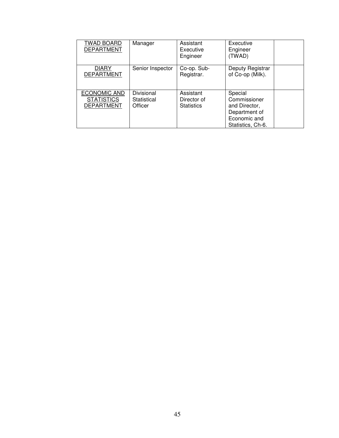| TWAD BOARD<br><b>DEPARTMENT</b>                        | Manager                              | Assistant<br>Executive<br>Engineer            | Executive<br>Engineer<br>(TWAD)                                                                |  |
|--------------------------------------------------------|--------------------------------------|-----------------------------------------------|------------------------------------------------------------------------------------------------|--|
| <b>DIARY</b><br><b>DEPARTMENT</b>                      | Senior Inspector                     | Co-op. Sub-<br>Registrar.                     | Deputy Registrar<br>of Co-op (Milk).                                                           |  |
| ECONOMIC AND<br><b>STATISTICS</b><br><b>DEPARTMENT</b> | Divisional<br>Statistical<br>Officer | Assistant<br>Director of<br><b>Statistics</b> | Special<br>Commissioner<br>and Director,<br>Department of<br>Economic and<br>Statistics, Ch-6. |  |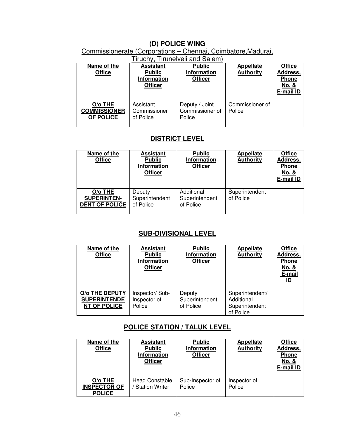## **(D) POLICE WING**

### Commissionerate (Corporations – Chennai, Coimbatore,Madurai,

| Tiruchy, Tirunelveli and Salem)             |                                                                           |                                                       |                                      |                                                                 |
|---------------------------------------------|---------------------------------------------------------------------------|-------------------------------------------------------|--------------------------------------|-----------------------------------------------------------------|
| Name of the<br><b>Office</b>                | <b>Assistant</b><br><b>Public</b><br><b>Information</b><br><b>Officer</b> | <b>Public</b><br><b>Information</b><br><b>Officer</b> | <b>Appellate</b><br><b>Authority</b> | <b>Office</b><br>Address,<br><b>Phone</b><br>No. &<br>E-mail ID |
| O/o THE<br><b>COMMISSIONER</b><br>OF POLICE | Assistant<br>Commissioner<br>of Police                                    | Deputy / Joint<br>Commissioner of<br>Police           | Commissioner of<br>Police            |                                                                 |

# **DISTRICT LEVEL**

| Name of the<br><b>Office</b>                           | <b>Assistant</b><br><b>Public</b><br><b>Information</b><br><b>Officer</b> | <b>Public</b><br><b>Information</b><br><b>Officer</b> | <b>Appellate</b><br><b>Authority</b> | <b>Office</b><br>Address,<br>Phone<br>No. &<br>E-mail ID |
|--------------------------------------------------------|---------------------------------------------------------------------------|-------------------------------------------------------|--------------------------------------|----------------------------------------------------------|
| O/o THE<br><b>SUPERINTEN-</b><br><b>DENT OF POLICE</b> | Deputy<br>Superintendent<br>of Police                                     | Additional<br>Superintendent<br>of Police             | Superintendent<br>of Police          |                                                          |

# **SUB-DIVISIONAL LEVEL**

| Name of the<br><b>Office</b>                                 | <b>Assistant</b><br><b>Public</b><br><b>Information</b><br><b>Officer</b> | <b>Public</b><br>Information<br><b>Officer</b> | <b>Appellate</b><br><b>Authority</b>                         | <b>Office</b><br>Address,<br><b>Phone</b><br>No. &<br>E-mail<br><u>ID</u> |
|--------------------------------------------------------------|---------------------------------------------------------------------------|------------------------------------------------|--------------------------------------------------------------|---------------------------------------------------------------------------|
| O/o THE DEPUTY<br><b>SUPERINTENDE</b><br><b>NT OF POLICE</b> | Inspector/Sub-<br>Inspector of<br>Police                                  | Deputy<br>Superintendent<br>of Police          | Superintendent/<br>Additional<br>Superintendent<br>of Police |                                                                           |

# **POLICE STATION / TALUK LEVEL**

| Name of the<br><b>Office</b>                    | <b>Assistant</b><br><b>Public</b><br><b>Information</b><br><b>Officer</b> | <b>Public</b><br><b>Information</b><br><b>Officer</b> | <b>Appellate</b><br><b>Authority</b> | <b>Office</b><br>Address,<br><b>Phone</b><br>No. &<br>E-mail ID |
|-------------------------------------------------|---------------------------------------------------------------------------|-------------------------------------------------------|--------------------------------------|-----------------------------------------------------------------|
| O/o THE<br><b>INSPECTOR OF</b><br><b>POLICE</b> | <b>Head Constable</b><br><b>Station Writer</b>                            | Sub-Inspector of<br>Police                            | Inspector of<br>Police               |                                                                 |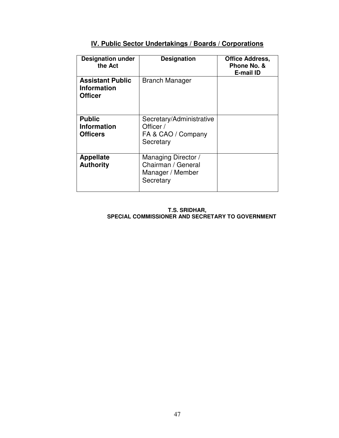| <b>Designation under</b><br>the Act                             | <b>Designation</b>                                                         | <b>Office Address,</b><br>Phone No. &<br><b>E-mail ID</b> |
|-----------------------------------------------------------------|----------------------------------------------------------------------------|-----------------------------------------------------------|
| <b>Assistant Public</b><br><b>Information</b><br><b>Officer</b> | <b>Branch Manager</b>                                                      |                                                           |
| <b>Public</b><br><b>Information</b><br><b>Officers</b>          | Secretary/Administrative<br>Officer /<br>FA & CAO / Company<br>Secretary   |                                                           |
| <b>Appellate</b><br><b>Authority</b>                            | Managing Director /<br>Chairman / General<br>Manager / Member<br>Secretary |                                                           |

### **IV. Public Sector Undertakings / Boards / Corporations**

#### **T.S. SRIDHAR, SPECIAL COMMISSIONER AND SECRETARY TO GOVERNMENT**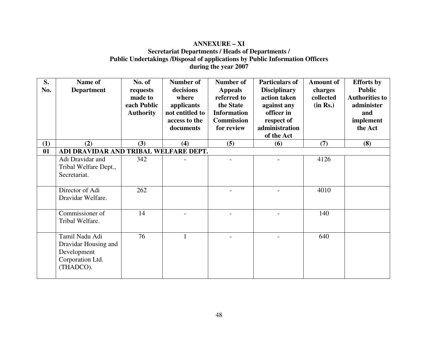#### **ANNEXURE – XI Secretariat Departments / Heads of Departments / Public Undertakings /Disposal of applications by Public Information Officers during the year 2007**

| S.<br>No. | Name of<br><b>Department</b>                                                           | No. of<br>requests<br>made to<br>each Public<br><b>Authority</b> | Number of<br>decisions<br>where<br>applicants<br>not entitled to<br>access to the<br>documents | <b>Number of</b><br><b>Appeals</b><br>referred to<br>the State<br><b>Information</b><br><b>Commission</b><br>for review | <b>Particulars of</b><br><b>Disciplinary</b><br>action taken<br>against any<br>officer in<br>respect of<br>administration<br>of the Act | <b>Amount of</b><br>charges<br>collected<br>(in Rs.) | <b>Efforts</b> by<br><b>Public</b><br><b>Authorities to</b><br>administer<br>and<br>implement<br>the Act |
|-----------|----------------------------------------------------------------------------------------|------------------------------------------------------------------|------------------------------------------------------------------------------------------------|-------------------------------------------------------------------------------------------------------------------------|-----------------------------------------------------------------------------------------------------------------------------------------|------------------------------------------------------|----------------------------------------------------------------------------------------------------------|
| (1)       | (2)                                                                                    | (3)                                                              | (4)                                                                                            | (5)                                                                                                                     | (6)                                                                                                                                     | (7)                                                  | (8)                                                                                                      |
| 01        | ADI DRAVIDAR AND TRIBAL WELFARE DEPT.                                                  |                                                                  |                                                                                                |                                                                                                                         |                                                                                                                                         |                                                      |                                                                                                          |
|           | Adi Dravidar and<br>Tribal Welfare Dept.,<br>Secretariat.                              | 342                                                              |                                                                                                |                                                                                                                         |                                                                                                                                         | 4126                                                 |                                                                                                          |
|           | Director of Adi<br>Dravidar Welfare.                                                   | 262                                                              |                                                                                                |                                                                                                                         |                                                                                                                                         | 4010                                                 |                                                                                                          |
|           | Commissioner of<br>Tribal Welfare.                                                     | 14                                                               |                                                                                                |                                                                                                                         |                                                                                                                                         | 140                                                  |                                                                                                          |
|           | Tamil Nadu Adi<br>Dravidar Housing and<br>Development<br>Corporation Ltd.<br>(THADCO). | 76                                                               | 1                                                                                              |                                                                                                                         |                                                                                                                                         | 640                                                  |                                                                                                          |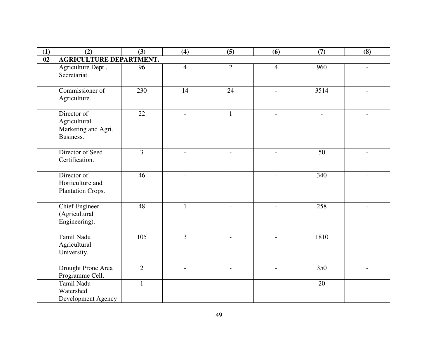| (1) | (2)                                                             | (3)            | (4)                      | (5)                      | (6)                      | (7)             | (8) |
|-----|-----------------------------------------------------------------|----------------|--------------------------|--------------------------|--------------------------|-----------------|-----|
| 02  | <b>AGRICULTURE DEPARTMENT.</b>                                  |                |                          |                          |                          |                 |     |
|     | Agriculture Dept.,<br>Secretariat.                              | 96             | $\overline{4}$           | $\overline{2}$           | $\overline{4}$           | 960             |     |
|     | Commissioner of<br>Agriculture.                                 | 230            | 14                       | 24                       | $\overline{a}$           | 3514            |     |
|     | Director of<br>Agricultural<br>Marketing and Agri.<br>Business. | 22             | $\overline{\phantom{0}}$ | $\mathbf{1}$             |                          |                 |     |
|     | Director of Seed<br>Certification.                              | $\overline{3}$ |                          |                          |                          | $\overline{50}$ |     |
|     | Director of<br>Horticulture and<br>Plantation Crops.            | 46             | $\overline{a}$           | $\overline{a}$           | $\overline{\phantom{0}}$ | 340             |     |
|     | <b>Chief Engineer</b><br>(Agricultural<br>Engineering).         | 48             | $\mathbf{1}$             | $\overline{a}$           | $\overline{a}$           | 258             |     |
|     | Tamil Nadu<br>Agricultural<br>University.                       | 105            | $\overline{3}$           |                          |                          | 1810            |     |
|     | Drought Prone Area<br>Programme Cell.                           | $\overline{2}$ | $\overline{a}$           | $\overline{a}$           | $\overline{a}$           | 350             |     |
|     | Tamil Nadu<br>Watershed<br>Development Agency                   | $\mathbf{1}$   |                          | $\overline{\phantom{0}}$ | $\overline{\phantom{a}}$ | $\overline{20}$ |     |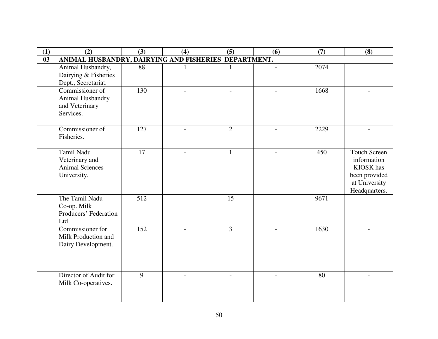| (1) | (2)                                                                   | (3) | (4) | (5)            | (6) | (7)  | (8)                                                                                                |
|-----|-----------------------------------------------------------------------|-----|-----|----------------|-----|------|----------------------------------------------------------------------------------------------------|
| 03  | ANIMAL HUSBANDRY, DAIRYING AND FISHERIES DEPARTMENT.                  |     |     |                |     |      |                                                                                                    |
|     | Animal Husbandry,<br>Dairying & Fisheries<br>Dept., Secretariat.      | 88  |     | 1              |     | 2074 |                                                                                                    |
|     | Commissioner of<br>Animal Husbandry<br>and Veterinary<br>Services.    | 130 |     |                |     | 1668 |                                                                                                    |
|     | Commissioner of<br>Fisheries.                                         | 127 |     | $\overline{2}$ |     | 2229 |                                                                                                    |
|     | Tamil Nadu<br>Veterinary and<br><b>Animal Sciences</b><br>University. | 17  |     | 1              |     | 450  | <b>Touch Screen</b><br>information<br>KIOSK has<br>been provided<br>at University<br>Headquarters. |
|     | The Tamil Nadu<br>Co-op. Milk<br>Producers' Federation<br>Ltd.        | 512 |     | 15             |     | 9671 |                                                                                                    |
|     | Commissioner for<br>Milk Production and<br>Dairy Development.         | 152 |     | $\overline{3}$ |     | 1630 |                                                                                                    |
|     | Director of Audit for<br>Milk Co-operatives.                          | 9   |     |                |     | 80   |                                                                                                    |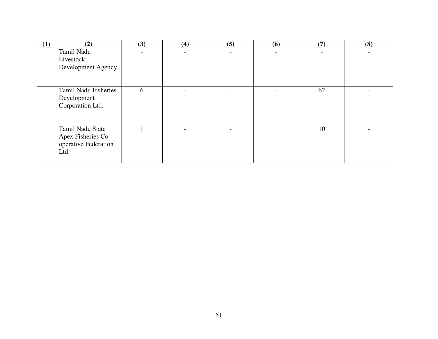| (1) | (2)                                                                    | (3) | (4) | (5)                      | (6) | (7) | (8) |
|-----|------------------------------------------------------------------------|-----|-----|--------------------------|-----|-----|-----|
|     | Tamil Nadu<br>Livestock<br>Development Agency                          |     |     |                          |     |     |     |
|     | <b>Tamil Nadu Fisheries</b><br>Development<br>Corporation Ltd.         | 6   |     |                          |     | 62  |     |
|     | Tamil Nadu State<br>Apex Fisheries Co-<br>operative Federation<br>Ltd. |     |     | $\overline{\phantom{0}}$ |     | 10  |     |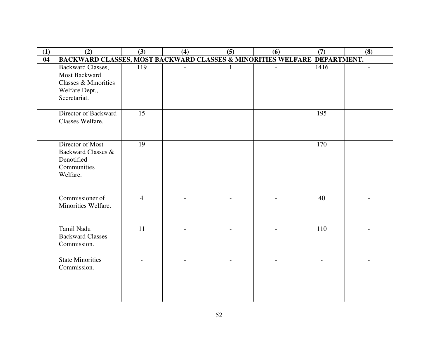| (1) | (2)                                                                                          | (3)            | (4)                      | (5)                      | (6)                      | (7)  | (8) |
|-----|----------------------------------------------------------------------------------------------|----------------|--------------------------|--------------------------|--------------------------|------|-----|
| 04  | BACKWARD CLASSES, MOST BACKWARD CLASSES & MINORITIES WELFARE DEPARTMENT.                     |                |                          |                          |                          |      |     |
|     | Backward Classes,<br>Most Backward<br>Classes & Minorities<br>Welfare Dept.,<br>Secretariat. | 119            | $\overline{\phantom{a}}$ |                          | $\overline{\phantom{a}}$ | 1416 |     |
|     | Director of Backward<br>Classes Welfare.                                                     | 15             |                          |                          | $\overline{a}$           | 195  |     |
|     | Director of Most<br>Backward Classes &<br>Denotified<br>Communities<br>Welfare.              | 19             | $\overline{a}$           | $\overline{a}$           | $\overline{a}$           | 170  |     |
|     | Commissioner of<br>Minorities Welfare.                                                       | $\overline{4}$ | $\overline{\phantom{0}}$ | $\overline{\phantom{0}}$ |                          | 40   |     |
|     | Tamil Nadu<br><b>Backward Classes</b><br>Commission.                                         | 11             |                          |                          |                          | 110  |     |
|     | <b>State Minorities</b><br>Commission.                                                       |                |                          |                          |                          |      |     |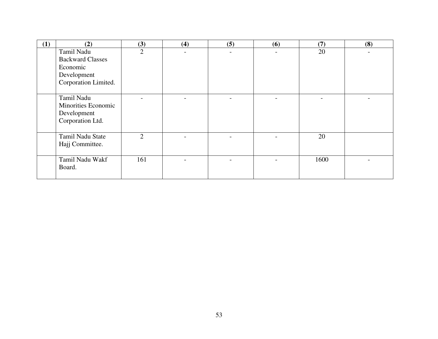| (1) | (2)                        | (3)            | (4) | (5) | (6)                      | (7)  | (8) |
|-----|----------------------------|----------------|-----|-----|--------------------------|------|-----|
|     | Tamil Nadu                 | $\overline{2}$ |     |     | $\overline{\phantom{0}}$ | 20   |     |
|     | <b>Backward Classes</b>    |                |     |     |                          |      |     |
|     | Economic                   |                |     |     |                          |      |     |
|     | Development                |                |     |     |                          |      |     |
|     | Corporation Limited.       |                |     |     |                          |      |     |
|     |                            |                |     |     |                          |      |     |
|     | Tamil Nadu                 |                |     |     |                          |      |     |
|     | <b>Minorities Economic</b> |                |     |     |                          |      |     |
|     | Development                |                |     |     |                          |      |     |
|     | Corporation Ltd.           |                |     |     |                          |      |     |
|     |                            |                |     |     |                          |      |     |
|     | Tamil Nadu State           | $\overline{2}$ |     |     |                          | 20   |     |
|     | Hajj Committee.            |                |     |     |                          |      |     |
|     |                            |                |     |     |                          |      |     |
|     | Tamil Nadu Wakf            | 161            |     |     |                          | 1600 |     |
|     | Board.                     |                |     |     |                          |      |     |
|     |                            |                |     |     |                          |      |     |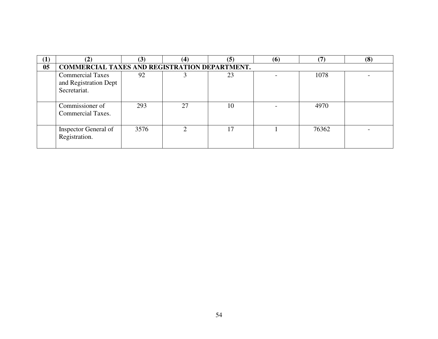| $\mathbf{(I)}$ | (2)                                                              | (3)  | (4) | (5) | (6) | $\left( 7\right)$ | (8) |  |  |  |
|----------------|------------------------------------------------------------------|------|-----|-----|-----|-------------------|-----|--|--|--|
| 05             | <b>COMMERCIAL TAXES AND REGISTRATION DEPARTMENT.</b>             |      |     |     |     |                   |     |  |  |  |
|                | <b>Commercial Taxes</b><br>and Registration Dept<br>Secretariat. | 92   |     | 23  |     | 1078              |     |  |  |  |
|                | Commissioner of<br>Commercial Taxes.                             | 293  | 27  | 10  |     | 4970              |     |  |  |  |
|                | Inspector General of<br>Registration.                            | 3576 |     | 17  |     | 76362             |     |  |  |  |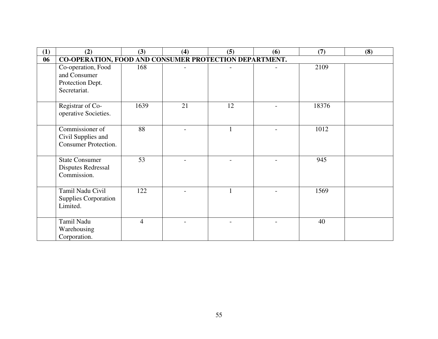| (1) | (2)                                                                    | (3)            | (4) | (5) | (6) | (7)   | (8) |
|-----|------------------------------------------------------------------------|----------------|-----|-----|-----|-------|-----|
| 06  | CO-OPERATION, FOOD AND CONSUMER PROTECTION DEPARTMENT.                 |                |     |     |     |       |     |
|     | Co-operation, Food<br>and Consumer<br>Protection Dept.<br>Secretariat. | 168            |     |     |     | 2109  |     |
|     | Registrar of Co-<br>operative Societies.                               | 1639           | 21  | 12  |     | 18376 |     |
|     | Commissioner of<br>Civil Supplies and<br><b>Consumer Protection.</b>   | 88             |     |     |     | 1012  |     |
|     | <b>State Consumer</b><br><b>Disputes Redressal</b><br>Commission.      | 53             |     |     |     | 945   |     |
|     | Tamil Nadu Civil<br><b>Supplies Corporation</b><br>Limited.            | 122            |     |     |     | 1569  |     |
|     | Tamil Nadu<br>Warehousing<br>Corporation.                              | $\overline{4}$ |     |     |     | 40    |     |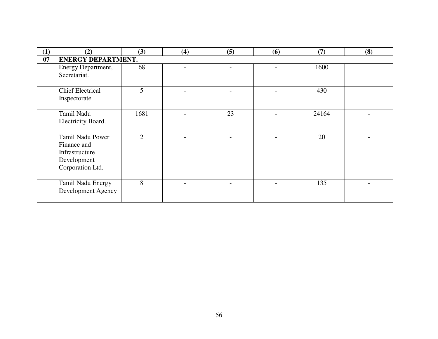| (1) | (2)                                                                                  | (3)            | (4) | (5) | (6) | (7)   | (8) |
|-----|--------------------------------------------------------------------------------------|----------------|-----|-----|-----|-------|-----|
| 07  | <b>ENERGY DEPARTMENT.</b>                                                            |                |     |     |     |       |     |
|     | Energy Department,<br>Secretariat.                                                   | 68             |     |     |     | 1600  |     |
|     | <b>Chief Electrical</b><br>Inspectorate.                                             | 5              |     |     |     | 430   |     |
|     | Tamil Nadu<br>Electricity Board.                                                     | 1681           |     | 23  |     | 24164 |     |
|     | Tamil Nadu Power<br>Finance and<br>Infrastructure<br>Development<br>Corporation Ltd. | $\overline{2}$ |     |     |     | 20    |     |
|     | Tamil Nadu Energy<br>Development Agency                                              | 8              |     |     |     | 135   |     |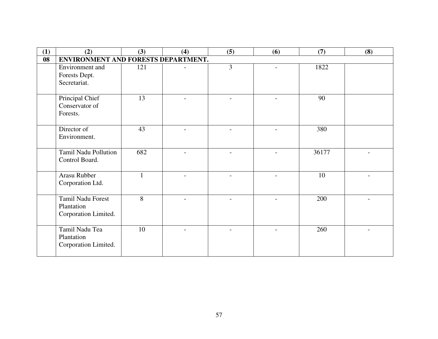| (1) | (2)                                 | (3)    | (4) | (5)                      | (6)                      | (7)   | (8) |
|-----|-------------------------------------|--------|-----|--------------------------|--------------------------|-------|-----|
| 08  | ENVIRONMENT AND FORESTS DEPARTMENT. |        |     |                          |                          |       |     |
|     | Environment and                     | 121    |     | $\overline{3}$           |                          | 1822  |     |
|     | Forests Dept.                       |        |     |                          |                          |       |     |
|     | Secretariat.                        |        |     |                          |                          |       |     |
|     |                                     |        |     |                          |                          |       |     |
|     | Principal Chief                     | 13     |     | $\overline{\phantom{0}}$ | $\overline{\phantom{0}}$ | 90    |     |
|     | Conservator of                      |        |     |                          |                          |       |     |
|     | Forests.                            |        |     |                          |                          |       |     |
|     | Director of                         | 43     |     |                          |                          | 380   |     |
|     | Environment.                        |        |     |                          |                          |       |     |
|     |                                     |        |     |                          |                          |       |     |
|     | <b>Tamil Nadu Pollution</b>         | 682    |     |                          |                          | 36177 |     |
|     | Control Board.                      |        |     |                          |                          |       |     |
|     |                                     |        |     |                          |                          |       |     |
|     | Arasu Rubber                        |        |     |                          |                          | 10    |     |
|     | Corporation Ltd.                    |        |     |                          |                          |       |     |
|     | <b>Tamil Nadu Forest</b>            |        |     |                          |                          |       |     |
|     | Plantation                          | 8      |     | $\overline{a}$           |                          | 200   |     |
|     |                                     |        |     |                          |                          |       |     |
|     | Corporation Limited.                |        |     |                          |                          |       |     |
|     | Tamil Nadu Tea                      | $10\,$ |     |                          |                          | 260   |     |
|     | Plantation                          |        |     |                          |                          |       |     |
|     | Corporation Limited.                |        |     |                          |                          |       |     |
|     |                                     |        |     |                          |                          |       |     |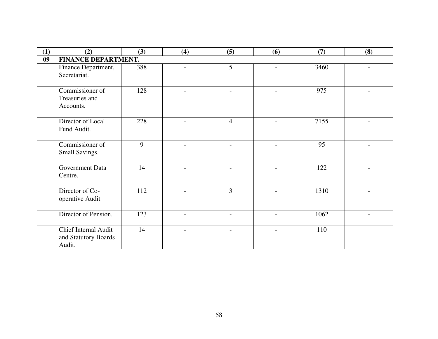| (1) | (2)                  | (3) | (4)                      | (5)                      | (6)                      | (7)  | (8) |
|-----|----------------------|-----|--------------------------|--------------------------|--------------------------|------|-----|
| 09  | FINANCE DEPARTMENT.  |     |                          |                          |                          |      |     |
|     | Finance Department,  | 388 |                          | 5 <sup>5</sup>           | $\overline{a}$           | 3460 |     |
|     | Secretariat.         |     |                          |                          |                          |      |     |
|     | Commissioner of      | 128 | $\overline{a}$           | $\overline{\phantom{0}}$ | $\overline{\phantom{0}}$ | 975  |     |
|     | Treasuries and       |     |                          |                          |                          |      |     |
|     | Accounts.            |     |                          |                          |                          |      |     |
|     | Director of Local    | 228 |                          | $\overline{4}$           |                          | 7155 |     |
|     | Fund Audit.          |     |                          |                          |                          |      |     |
|     | Commissioner of      | 9   | $\overline{\phantom{0}}$ | $\overline{\phantom{0}}$ | $\overline{a}$           | 95   |     |
|     | Small Savings.       |     |                          |                          |                          |      |     |
|     | Government Data      | 14  |                          |                          |                          | 122  |     |
|     | Centre.              |     |                          |                          |                          |      |     |
|     | Director of Co-      | 112 |                          | $\overline{3}$           |                          | 1310 |     |
|     | operative Audit      |     |                          |                          |                          |      |     |
|     | Director of Pension. | 123 |                          |                          |                          | 1062 |     |
|     | Chief Internal Audit | 14  |                          |                          |                          | 110  |     |
|     | and Statutory Boards |     |                          |                          |                          |      |     |
|     | Audit.               |     |                          |                          |                          |      |     |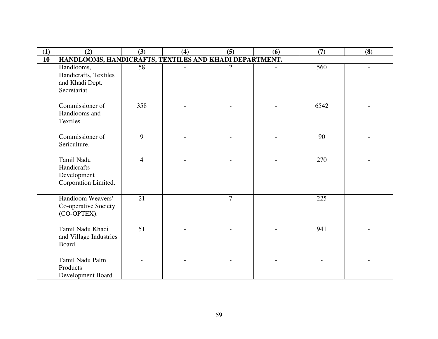| (1) | (2)                                                                    | (3)             | (4)                      | (5)                      | (6) | (7)  | (8) |  |  |
|-----|------------------------------------------------------------------------|-----------------|--------------------------|--------------------------|-----|------|-----|--|--|
| 10  | HANDLOOMS, HANDICRAFTS, TEXTILES AND KHADI DEPARTMENT.                 |                 |                          |                          |     |      |     |  |  |
|     | Handlooms,<br>Handicrafts, Textiles<br>and Khadi Dept.<br>Secretariat. | 58              |                          | $\overline{2}$           |     | 560  |     |  |  |
|     | Commissioner of<br>Handlooms and<br>Textiles.                          | 358             |                          |                          |     | 6542 |     |  |  |
|     | Commissioner of<br>Sericulture.                                        | $\overline{9}$  |                          |                          |     | 90   |     |  |  |
|     | Tamil Nadu<br>Handicrafts<br>Development<br>Corporation Limited.       | $\overline{4}$  | $\overline{\phantom{0}}$ | $\overline{\phantom{a}}$ |     | 270  |     |  |  |
|     | Handloom Weavers'<br>Co-operative Society<br>(CO-OPTEX).               | $\overline{21}$ |                          | $\overline{7}$           |     | 225  |     |  |  |
|     | Tamil Nadu Khadi<br>and Village Industries<br>Board.                   | 51              |                          |                          |     | 941  |     |  |  |
|     | Tamil Nadu Palm<br>Products<br>Development Board.                      |                 |                          |                          |     |      |     |  |  |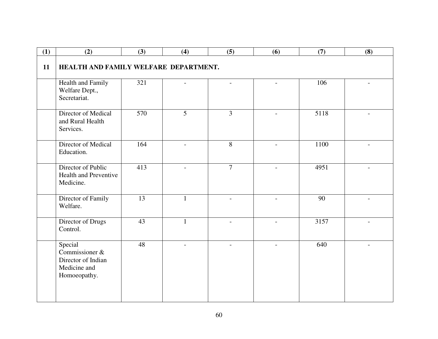| (1) | (2)                                                                             | (3)             | (4)                      | (5)                      | (6)                      | (7)  | (8)                      |  |  |  |
|-----|---------------------------------------------------------------------------------|-----------------|--------------------------|--------------------------|--------------------------|------|--------------------------|--|--|--|
| 11  | HEALTH AND FAMILY WELFARE DEPARTMENT.                                           |                 |                          |                          |                          |      |                          |  |  |  |
|     | Health and Family<br>Welfare Dept.,<br>Secretariat.                             | 321             | $\overline{a}$           | $\overline{a}$           | $\overline{a}$           | 106  |                          |  |  |  |
|     | Director of Medical<br>and Rural Health<br>Services.                            | 570             | $\overline{5}$           | $\overline{3}$           |                          | 5118 |                          |  |  |  |
|     | Director of Medical<br>Education.                                               | 164             |                          | 8                        |                          | 1100 |                          |  |  |  |
|     | Director of Public<br><b>Health and Preventive</b><br>Medicine.                 | 413             | $\overline{a}$           | $\overline{7}$           |                          | 4951 |                          |  |  |  |
|     | Director of Family<br>Welfare.                                                  | $\overline{13}$ | $\mathbf{1}$             | $\sim$                   |                          | 90   |                          |  |  |  |
|     | Director of Drugs<br>Control.                                                   | 43              | 1                        | $\overline{\phantom{a}}$ | $\overline{\phantom{a}}$ | 3157 |                          |  |  |  |
|     | Special<br>Commissioner &<br>Director of Indian<br>Medicine and<br>Homoeopathy. | 48              | $\overline{\phantom{a}}$ | $\overline{\phantom{a}}$ | $\overline{\phantom{0}}$ | 640  | $\overline{\phantom{0}}$ |  |  |  |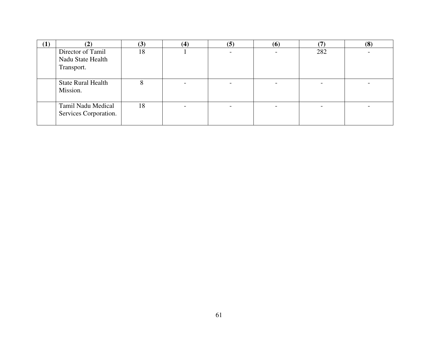| $\mathbf{I})$ | ( م                       | $\bf (3)$ | $\bf(4)$ | (5) | (6) | $\mathbf \tau$ | (8) |
|---------------|---------------------------|-----------|----------|-----|-----|----------------|-----|
|               | Director of Tamil         | 18        |          |     |     | 282            |     |
|               | Nadu State Health         |           |          |     |     |                |     |
|               | Transport.                |           |          |     |     |                |     |
|               |                           |           |          |     |     |                |     |
|               | <b>State Rural Health</b> |           |          |     |     |                |     |
|               | Mission.                  |           |          |     |     |                |     |
|               |                           |           |          |     |     |                |     |
|               | Tamil Nadu Medical        | 18        |          |     |     |                |     |
|               | Services Corporation.     |           |          |     |     |                |     |
|               |                           |           |          |     |     |                |     |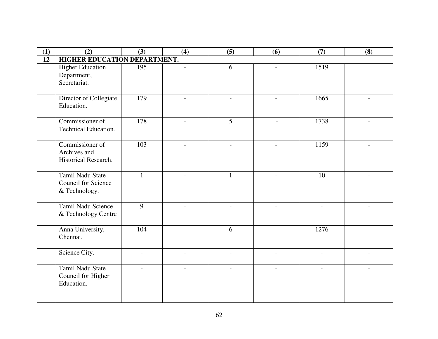| (1) | (2)                                                             | (3)                      | (4)                      | (5)                      | (6)            | (7)                      | (8)                      |
|-----|-----------------------------------------------------------------|--------------------------|--------------------------|--------------------------|----------------|--------------------------|--------------------------|
| 12  | HIGHER EDUCATION DEPARTMENT.                                    |                          |                          |                          |                |                          |                          |
|     | <b>Higher Education</b><br>Department,<br>Secretariat.          | 195                      | $\overline{\phantom{a}}$ | 6                        |                | 1519                     |                          |
|     | Director of Collegiate<br>Education.                            | 179                      |                          |                          |                | 1665                     |                          |
|     | Commissioner of<br><b>Technical Education.</b>                  | 178                      |                          | 5                        |                | 1738                     |                          |
|     | Commissioner of<br>Archives and<br>Historical Research.         | 103                      |                          |                          |                | 1159                     |                          |
|     | Tamil Nadu State<br><b>Council for Science</b><br>& Technology. | $\mathbf{1}$             |                          | $\mathbf{1}$             |                | 10                       |                          |
|     | Tamil Nadu Science<br>& Technology Centre                       | $\overline{9}$           |                          |                          |                |                          |                          |
|     | Anna University,<br>Chennai.                                    | 104                      |                          | 6                        |                | 1276                     |                          |
|     | Science City.                                                   | $\overline{\phantom{a}}$ | $\overline{\phantom{a}}$ | $\overline{\phantom{a}}$ | $\blacksquare$ | $\overline{\phantom{a}}$ | $\overline{\phantom{0}}$ |
|     | Tamil Nadu State<br>Council for Higher<br>Education.            |                          |                          |                          |                |                          |                          |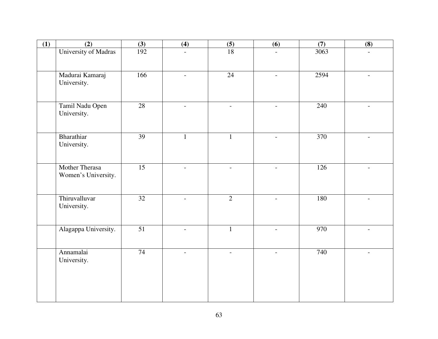| (1) | (2)                                   | (3)             | (4)                      | $\frac{(5)}{18}$ | (6)                      | (7)  | (8)                      |
|-----|---------------------------------------|-----------------|--------------------------|------------------|--------------------------|------|--------------------------|
|     | University of Madras                  | 192             | $\overline{a}$           |                  | $\blacksquare$           | 3063 |                          |
|     | Madurai Kamaraj<br>University.        | 166             | $\overline{\phantom{a}}$ | 24               | $\overline{\phantom{a}}$ | 2594 | $\qquad \qquad -$        |
|     | Tamil Nadu Open<br>University.        | 28              |                          |                  |                          | 240  |                          |
|     | Bharathiar<br>University.             | 39              | $\mathbf{1}$             | $\mathbf{1}$     |                          | 370  |                          |
|     | Mother Therasa<br>Women's University. | $\overline{15}$ | $\mathbf{r}$             | $\sim$           | $\blacksquare$           | 126  | $\overline{a}$           |
|     | Thiruvalluvar<br>University.          | $\overline{32}$ | $\overline{\phantom{a}}$ | $\overline{2}$   | $\overline{\phantom{a}}$ | 180  |                          |
|     | Alagappa University.                  | $\overline{51}$ | $\overline{\phantom{a}}$ | $\mathbf{1}$     | $\overline{\phantom{a}}$ | 970  | $\overline{\phantom{a}}$ |
|     | Annamalai<br>University.              | 74              | $\overline{\phantom{a}}$ | $\overline{a}$   | $\overline{a}$           | 740  |                          |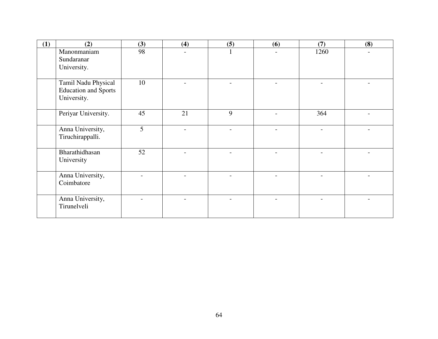| (1) | (2)                                                               | (3) | (4) | (5) | (6) | (7)  | (8) |
|-----|-------------------------------------------------------------------|-----|-----|-----|-----|------|-----|
|     | Manonmaniam<br>Sundaranar<br>University.                          | 98  |     |     |     | 1260 |     |
|     | Tamil Nadu Physical<br><b>Education and Sports</b><br>University. | 10  |     |     |     |      |     |
|     | Periyar University.                                               | 45  | 21  | 9   |     | 364  |     |
|     | Anna University,<br>Tiruchirappalli.                              | 5   |     |     |     |      |     |
|     | Bharathidhasan<br>University                                      | 52  |     |     |     |      |     |
|     | Anna University,<br>Coimbatore                                    |     |     |     |     |      |     |
|     | Anna University,<br>Tirunelveli                                   |     |     |     |     |      |     |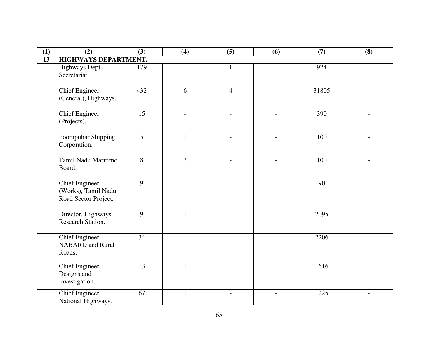| (1) | (2)                                                                  | (3)             | (4)                      | (5)                      | (6)                      | (7)   | (8)                      |
|-----|----------------------------------------------------------------------|-----------------|--------------------------|--------------------------|--------------------------|-------|--------------------------|
| 13  | HIGHWAYS DEPARTMENT.                                                 |                 |                          |                          |                          |       |                          |
|     | Highways Dept.,<br>Secretariat.                                      | 179             |                          | $\mathbf{1}$             |                          | 924   |                          |
|     | <b>Chief Engineer</b><br>(General), Highways.                        | 432             | 6                        | $\overline{4}$           |                          | 31805 |                          |
|     | <b>Chief Engineer</b><br>(Projects).                                 | 15              | $\overline{a}$           | $\overline{\phantom{a}}$ | $\overline{a}$           | 390   |                          |
|     | Poompuhar Shipping<br>Corporation.                                   | $\overline{5}$  |                          |                          |                          | 100   |                          |
|     | Tamil Nadu Maritime<br>Board.                                        | $\overline{8}$  | $\overline{3}$           |                          |                          | 100   |                          |
|     | <b>Chief Engineer</b><br>(Works), Tamil Nadu<br>Road Sector Project. | 9               | $\overline{\phantom{a}}$ | $\overline{\phantom{a}}$ | $\overline{\phantom{a}}$ | 90    |                          |
|     | Director, Highways<br>Research Station.                              | 9               | 1                        | $\overline{\phantom{a}}$ | $\overline{\phantom{a}}$ | 2095  | $\overline{\phantom{0}}$ |
|     | Chief Engineer,<br><b>NABARD</b> and Rural<br>Roads.                 | 34              |                          |                          |                          | 2206  |                          |
|     | Chief Engineer,<br>Designs and<br>Investigation.                     | $\overline{13}$ | 1                        | $\overline{\phantom{a}}$ | $\overline{\phantom{0}}$ | 1616  |                          |
|     | Chief Engineer,<br>National Highways.                                | 67              | 1                        | $\overline{\phantom{a}}$ | $\overline{a}$           | 1225  |                          |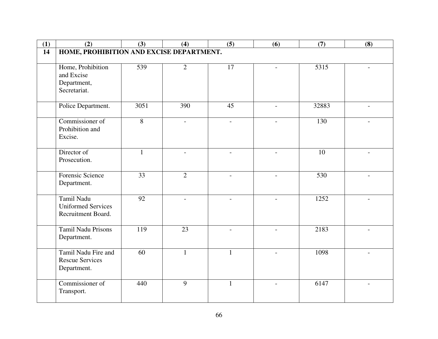| (1)             | (2)                                           | (3)             | (4)                      | (5)                      | (6)                      | (7)               | (8)                      |
|-----------------|-----------------------------------------------|-----------------|--------------------------|--------------------------|--------------------------|-------------------|--------------------------|
| $\overline{14}$ | HOME, PROHIBITION AND EXCISE DEPARTMENT.      |                 |                          |                          |                          |                   |                          |
|                 | Home, Prohibition                             | 539             | $\overline{2}$           | $\overline{17}$          |                          | $\overline{5315}$ |                          |
|                 | and Excise                                    |                 |                          |                          |                          |                   |                          |
|                 | Department,                                   |                 |                          |                          |                          |                   |                          |
|                 | Secretariat.                                  |                 |                          |                          |                          |                   |                          |
|                 | Police Department.                            | 3051            | 390                      | 45                       |                          | 32883             |                          |
|                 |                                               |                 |                          |                          |                          |                   |                          |
|                 | Commissioner of                               | $\overline{8}$  | $\overline{\phantom{a}}$ | $\overline{\phantom{a}}$ |                          | 130               |                          |
|                 | Prohibition and<br>Excise.                    |                 |                          |                          |                          |                   |                          |
|                 |                                               |                 |                          |                          |                          |                   |                          |
|                 | Director of                                   | 1               | $\overline{a}$           | $\overline{a}$           |                          | 10                |                          |
|                 | Prosecution.                                  |                 |                          |                          |                          |                   |                          |
|                 | Forensic Science                              | 33              | $\overline{2}$           | $\sim$                   | $\overline{a}$           | 530               | $\overline{a}$           |
|                 | Department.                                   |                 |                          |                          |                          |                   |                          |
|                 | Tamil Nadu                                    | $\overline{92}$ |                          |                          |                          | 1252              |                          |
|                 | <b>Uniformed Services</b>                     |                 |                          |                          |                          |                   |                          |
|                 | Recruitment Board.                            |                 |                          |                          |                          |                   |                          |
|                 | Tamil Nadu Prisons                            | 119             | 23                       |                          |                          | 2183              |                          |
|                 | Department.                                   |                 |                          |                          |                          |                   |                          |
|                 |                                               |                 |                          |                          |                          |                   |                          |
|                 | Tamil Nadu Fire and<br><b>Rescue Services</b> | 60              | $\mathbf{1}$             | $\mathbf{1}$             |                          | 1098              |                          |
|                 | Department.                                   |                 |                          |                          |                          |                   |                          |
|                 |                                               |                 |                          |                          |                          |                   |                          |
|                 | Commissioner of                               | 440             | $\overline{9}$           | $\mathbf{1}$             | $\overline{\phantom{a}}$ | 6147              | $\overline{\phantom{0}}$ |
|                 | Transport.                                    |                 |                          |                          |                          |                   |                          |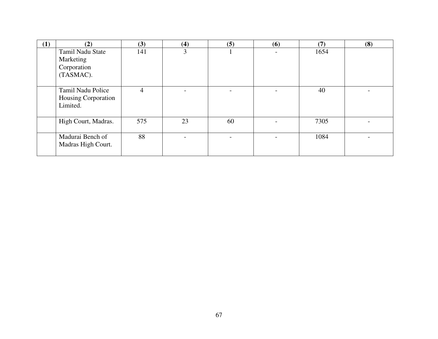| (1) | (2)                                                       | (3) | (4) | (5) | (6)                      | (7)  | (8) |
|-----|-----------------------------------------------------------|-----|-----|-----|--------------------------|------|-----|
|     | Tamil Nadu State<br>Marketing<br>Corporation<br>(TASMAC). | 141 | 3   |     | $\overline{\phantom{a}}$ | 1654 |     |
|     |                                                           |     |     |     |                          |      |     |
|     | Tamil Nadu Police<br>Housing Corporation<br>Limited.      | 4   |     |     |                          | 40   |     |
|     | High Court, Madras.                                       | 575 | 23  | 60  |                          | 7305 |     |
|     | Madurai Bench of<br>Madras High Court.                    | 88  |     |     |                          | 1084 |     |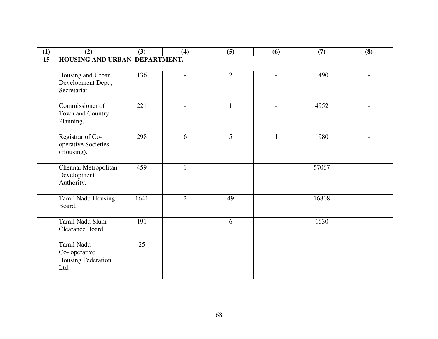| (1)             | (2)                                                      | (3)             | (4)            | (5)            | (6)                      | (7)   | (8)            |
|-----------------|----------------------------------------------------------|-----------------|----------------|----------------|--------------------------|-------|----------------|
| $\overline{15}$ | HOUSING AND URBAN DEPARTMENT.                            |                 |                |                |                          |       |                |
|                 | Housing and Urban<br>Development Dept.,<br>Secretariat.  | 136             |                | $\overline{2}$ |                          | 1490  |                |
|                 | Commissioner of<br>Town and Country<br>Planning.         | 221             |                | $\mathbf{1}$   |                          | 4952  |                |
|                 | Registrar of Co-<br>operative Societies<br>(Housing).    | 298             | 6              | 5              | $\mathbf{1}$             | 1980  |                |
|                 | Chennai Metropolitan<br>Development<br>Authority.        | 459             | 1              |                |                          | 57067 |                |
|                 | Tamil Nadu Housing<br>Board.                             | 1641            | $\overline{2}$ | 49             |                          | 16808 |                |
|                 | Tamil Nadu Slum<br>Clearance Board.                      | 191             | $\overline{a}$ | 6              | $\overline{\phantom{0}}$ | 1630  | $\blacksquare$ |
|                 | Tamil Nadu<br>Co-operative<br>Housing Federation<br>Ltd. | $\overline{25}$ |                |                |                          |       |                |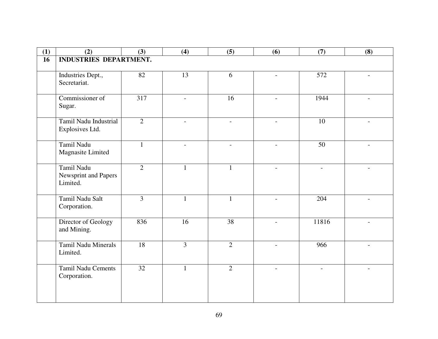| (1) | (2)                           | (3)            | (4)                      | (5)                      | (6)                      | (7)                      | (8)                      |
|-----|-------------------------------|----------------|--------------------------|--------------------------|--------------------------|--------------------------|--------------------------|
| 16  | <b>INDUSTRIES DEPARTMENT.</b> |                |                          |                          |                          |                          |                          |
|     |                               |                |                          |                          |                          |                          |                          |
|     | Industries Dept.,             | 82             | 13                       | 6                        | $\qquad \qquad -$        | 572                      | $\overline{\phantom{a}}$ |
|     | Secretariat.                  |                |                          |                          |                          |                          |                          |
|     |                               |                |                          |                          |                          |                          |                          |
|     | Commissioner of               | 317            |                          | 16                       |                          | 1944                     |                          |
|     | Sugar.                        |                |                          |                          |                          |                          |                          |
|     |                               |                |                          |                          |                          |                          |                          |
|     | Tamil Nadu Industrial         | $\overline{2}$ |                          |                          |                          | 10                       |                          |
|     | Explosives Ltd.               |                |                          |                          |                          |                          |                          |
|     | Tamil Nadu                    | $\mathbf{1}$   | $\overline{\phantom{a}}$ | $\overline{\phantom{a}}$ | $\overline{\phantom{a}}$ | 50                       | $\overline{\phantom{a}}$ |
|     | Magnasite Limited             |                |                          |                          |                          |                          |                          |
|     |                               |                |                          |                          |                          |                          |                          |
|     | Tamil Nadu                    | $\overline{2}$ | $\mathbf{1}$             | $\mathbf{1}$             | $\overline{\phantom{a}}$ | $\overline{\phantom{0}}$ | $\overline{\phantom{a}}$ |
|     | Newsprint and Papers          |                |                          |                          |                          |                          |                          |
|     | Limited.                      |                |                          |                          |                          |                          |                          |
|     |                               |                |                          |                          |                          |                          |                          |
|     | Tamil Nadu Salt               | $\overline{3}$ | 1                        | $\mathbf{1}$             | $\overline{\phantom{a}}$ | 204                      | $\overline{\phantom{a}}$ |
|     | Corporation.                  |                |                          |                          |                          |                          |                          |
|     | Director of Geology           | 836            | 16                       | $\overline{38}$          |                          | 11816                    |                          |
|     | and Mining.                   |                |                          |                          | $\overline{\phantom{a}}$ |                          | $\overline{\phantom{a}}$ |
|     |                               |                |                          |                          |                          |                          |                          |
|     | Tamil Nadu Minerals           | 18             | $\overline{3}$           | $\overline{2}$           | $\overline{a}$           | 966                      | $\overline{\phantom{0}}$ |
|     | Limited.                      |                |                          |                          |                          |                          |                          |
|     |                               |                |                          |                          |                          |                          |                          |
|     | <b>Tamil Nadu Cements</b>     | 32             | 1                        | $\overline{2}$           |                          |                          |                          |
|     | Corporation.                  |                |                          |                          |                          |                          |                          |
|     |                               |                |                          |                          |                          |                          |                          |
|     |                               |                |                          |                          |                          |                          |                          |
|     |                               |                |                          |                          |                          |                          |                          |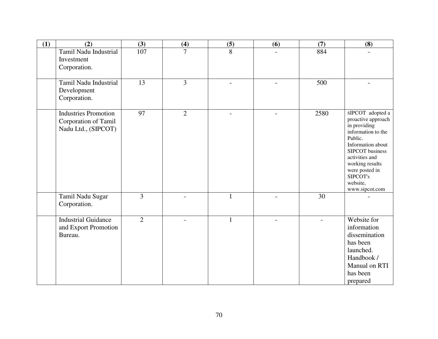| (1) | (2)                                                                        | (3)            | (4)            | (5)            | (6)            | (7)  | (8)                                                                                                                                                                                                                              |
|-----|----------------------------------------------------------------------------|----------------|----------------|----------------|----------------|------|----------------------------------------------------------------------------------------------------------------------------------------------------------------------------------------------------------------------------------|
|     | Tamil Nadu Industrial<br>Investment<br>Corporation.                        | 107            | $\overline{7}$ | 8              |                | 884  |                                                                                                                                                                                                                                  |
|     | Tamil Nadu Industrial<br>Development<br>Corporation.                       | 13             | 3              |                |                | 500  |                                                                                                                                                                                                                                  |
|     | <b>Industries Promotion</b><br>Corporation of Tamil<br>Nadu Ltd., (SIPCOT) | 97             | $\overline{2}$ | $\overline{a}$ | $\overline{a}$ | 2580 | sIPCOT adopted a<br>proactive approach<br>in providing<br>information to the<br>Public.<br>Information about<br>SIPCOT business<br>activities and<br>working results<br>were posted in<br>SIPCOT's<br>website,<br>www.sipcot.com |
|     | Tamil Nadu Sugar<br>Corporation.                                           | 3              |                | $\mathbf{1}$   |                | 30   |                                                                                                                                                                                                                                  |
|     | <b>Industrial Guidance</b><br>and Export Promotion<br>Bureau.              | $\overline{2}$ |                | $\mathbf{1}$   |                |      | Website for<br>information<br>dissemination<br>has been<br>launched.<br>Handbook /<br>Manual on RTI<br>has been<br>prepared                                                                                                      |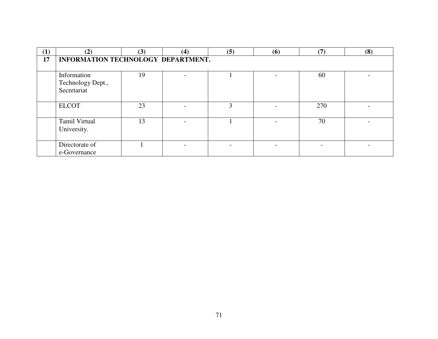| $\left(1\right)$ | (2)                                             | (3) | (4) | (5) | (6) | (7) | (8) |
|------------------|-------------------------------------------------|-----|-----|-----|-----|-----|-----|
| 17               | INFORMATION TECHNOLOGY DEPARTMENT.              |     |     |     |     |     |     |
|                  | Information<br>Technology Dept.,<br>Secretariat | 19  |     |     |     | 60  |     |
|                  | <b>ELCOT</b>                                    | 23  |     | 3   |     | 270 |     |
|                  | Tamil Virtual<br>University.                    | 13  |     |     |     | 70  |     |
|                  | Directorate of<br>e-Governance                  |     |     |     |     |     |     |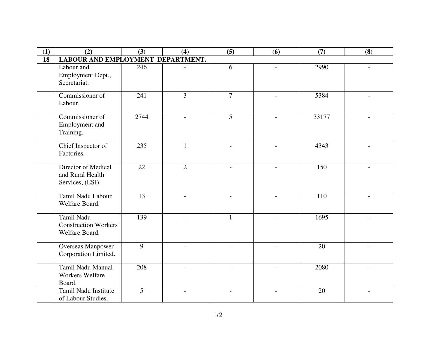| (1) | (2)                                                         | (3)  | (4)                      | (5)                      | (6)                      | (7)   | (8)            |
|-----|-------------------------------------------------------------|------|--------------------------|--------------------------|--------------------------|-------|----------------|
| 18  | LABOUR AND EMPLOYMENT DEPARTMENT.                           |      |                          |                          |                          |       |                |
|     | Labour and<br>Employment Dept.,<br>Secretariat.             | 246  |                          | 6                        |                          | 2990  |                |
|     | Commissioner of<br>Labour.                                  | 241  | 3                        | $\overline{7}$           | $\overline{\phantom{a}}$ | 5384  |                |
|     | Commissioner of<br>Employment and<br>Training.              | 2744 | $\overline{\phantom{0}}$ | 5                        | $\overline{\phantom{a}}$ | 33177 |                |
|     | Chief Inspector of<br>Factories.                            | 235  |                          |                          |                          | 4343  |                |
|     | Director of Medical<br>and Rural Health<br>Services, (ESI). | 22   | $\overline{2}$           |                          |                          | 150   |                |
|     | Tamil Nadu Labour<br>Welfare Board.                         | 13   |                          |                          |                          | 110   |                |
|     | Tamil Nadu<br><b>Construction Workers</b><br>Welfare Board. | 139  |                          | 1                        |                          | 1695  |                |
|     | <b>Overseas Manpower</b><br>Corporation Limited.            | 9    | $\overline{\phantom{a}}$ | $\blacksquare$           | $\overline{\phantom{a}}$ | 20    | $\overline{a}$ |
|     | Tamil Nadu Manual<br><b>Workers Welfare</b><br>Board.       | 208  | $\overline{a}$           | $\sim$                   |                          | 2080  |                |
|     | Tamil Nadu Institute<br>of Labour Studies.                  | 5    | $\overline{\phantom{a}}$ | $\overline{\phantom{a}}$ |                          | 20    |                |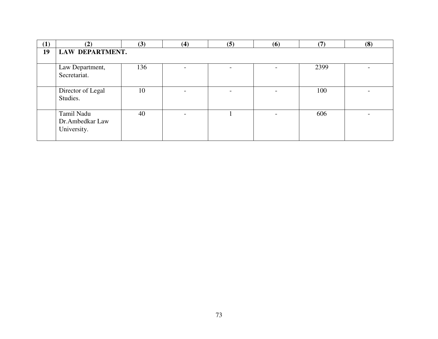| (1) | (2)                                          | (3) | (4) | (5) | (6)                      | (7)  | (8) |  |  |
|-----|----------------------------------------------|-----|-----|-----|--------------------------|------|-----|--|--|
| 19  | LAW DEPARTMENT.                              |     |     |     |                          |      |     |  |  |
|     | Law Department,<br>Secretariat.              | 136 |     |     |                          | 2399 |     |  |  |
|     | Director of Legal<br>Studies.                | 10  |     |     |                          | 100  |     |  |  |
|     | Tamil Nadu<br>Dr.Ambedkar Law<br>University. | 40  |     |     | $\overline{\phantom{0}}$ | 606  |     |  |  |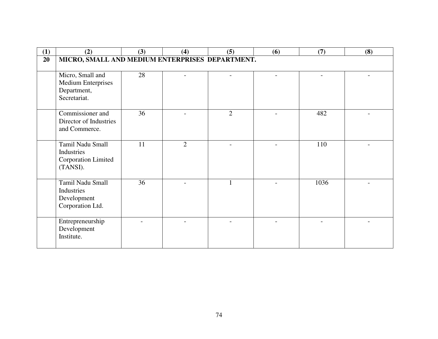| (1) | (2)                                                                          | (3) | (4)            | (5)                      | (6)            | (7)  | (8) |
|-----|------------------------------------------------------------------------------|-----|----------------|--------------------------|----------------|------|-----|
| 20  | MICRO, SMALL AND MEDIUM ENTERPRISES DEPARTMENT.                              |     |                |                          |                |      |     |
|     |                                                                              |     |                |                          |                |      |     |
|     | Micro, Small and<br><b>Medium Enterprises</b><br>Department,<br>Secretariat. | 28  |                | $\overline{\phantom{0}}$ | $\overline{a}$ |      |     |
|     | Commissioner and<br>Director of Industries<br>and Commerce.                  | 36  |                | $\overline{2}$           |                | 482  |     |
|     | Tamil Nadu Small<br>Industries<br>Corporation Limited<br>(TANSI).            | 11  | $\overline{2}$ | $\overline{\phantom{0}}$ |                | 110  |     |
|     | Tamil Nadu Small<br>Industries<br>Development<br>Corporation Ltd.            | 36  |                | $\mathbf{1}$             |                | 1036 |     |
|     | Entrepreneurship<br>Development<br>Institute.                                |     |                |                          |                |      |     |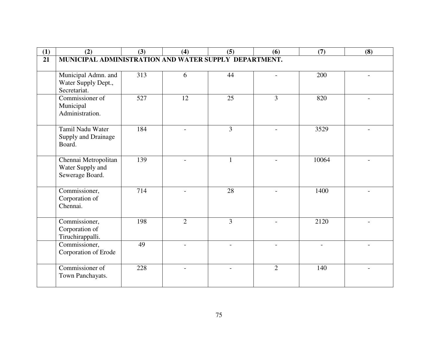| (1) | (2)                                                   | (3) | (4)            | (5)                      | (6)            | (7)   | (8) |
|-----|-------------------------------------------------------|-----|----------------|--------------------------|----------------|-------|-----|
| 21  | MUNICIPAL ADMINISTRATION AND WATER SUPPLY DEPARTMENT. |     |                |                          |                |       |     |
|     |                                                       |     |                |                          |                |       |     |
|     | Municipal Admn. and                                   | 313 | 6              | 44                       |                | 200   |     |
|     | Water Supply Dept.,                                   |     |                |                          |                |       |     |
|     | Secretariat.                                          |     |                |                          |                |       |     |
|     | Commissioner of                                       | 527 | 12             | 25                       | 3              | 820   |     |
|     | Municipal                                             |     |                |                          |                |       |     |
|     | Administration.                                       |     |                |                          |                |       |     |
|     | Tamil Nadu Water                                      | 184 |                | 3                        |                | 3529  |     |
|     | Supply and Drainage                                   |     |                |                          |                |       |     |
|     | Board.                                                |     |                |                          |                |       |     |
|     |                                                       |     |                |                          |                |       |     |
|     | Chennai Metropolitan                                  | 139 |                |                          |                | 10064 |     |
|     | Water Supply and                                      |     |                |                          |                |       |     |
|     | Sewerage Board.                                       |     |                |                          |                |       |     |
|     |                                                       |     |                |                          |                |       |     |
|     | Commissioner,                                         | 714 |                | $\overline{28}$          |                | 1400  |     |
|     | Corporation of<br>Chennai.                            |     |                |                          |                |       |     |
|     |                                                       |     |                |                          |                |       |     |
|     | Commissioner,                                         | 198 | $\overline{2}$ | 3                        |                | 2120  |     |
|     | Corporation of                                        |     |                |                          |                |       |     |
|     | Tiruchirappalli.                                      |     |                |                          |                |       |     |
|     | Commissioner,                                         | 49  | $\overline{a}$ | $\overline{\phantom{a}}$ | $\overline{a}$ |       |     |
|     | Corporation of Erode                                  |     |                |                          |                |       |     |
|     |                                                       |     |                |                          |                |       |     |
|     | Commissioner of                                       | 228 |                |                          | $\overline{2}$ | 140   |     |
|     | Town Panchayats.                                      |     |                |                          |                |       |     |
|     |                                                       |     |                |                          |                |       |     |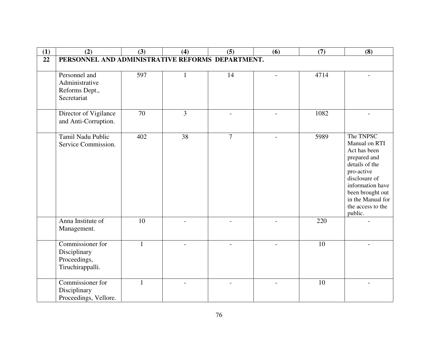| (1) | (2)                                                                  | (3)          | (4) | (5)            | (6)            | (7)  | (8)                                                                                                                                                                                                      |
|-----|----------------------------------------------------------------------|--------------|-----|----------------|----------------|------|----------------------------------------------------------------------------------------------------------------------------------------------------------------------------------------------------------|
| 22  | PERSONNEL AND ADMINISTRATIVE REFORMS DEPARTMENT.                     |              |     |                |                |      |                                                                                                                                                                                                          |
|     | Personnel and<br>Administrative<br>Reforms Dept.,<br>Secretariat     | 597          | 1   | 14             |                | 4714 |                                                                                                                                                                                                          |
|     | Director of Vigilance<br>and Anti-Corruption.                        | 70           | 3   |                |                | 1082 |                                                                                                                                                                                                          |
|     | Tamil Nadu Public<br>Service Commission.                             | 402          | 38  | $\overline{7}$ | $\blacksquare$ | 5989 | The TNPSC<br>Manual on RTI<br>Act has been<br>prepared and<br>details of the<br>pro-active<br>disclosure of<br>information have<br>been brought out<br>in the Manual for<br>the access to the<br>public. |
|     | Anna Institute of<br>Management.                                     | 10           |     |                |                | 220  |                                                                                                                                                                                                          |
|     | Commissioner for<br>Disciplinary<br>Proceedings,<br>Tiruchirappalli. | $\mathbf{1}$ |     |                |                | 10   |                                                                                                                                                                                                          |
|     | Commissioner for<br>Disciplinary<br>Proceedings, Vellore.            | 1            |     |                |                | 10   |                                                                                                                                                                                                          |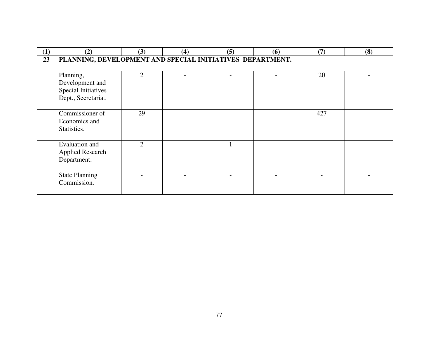| (1) | (2)                                                                               | (3)            | (4) | (5) | (6) | (7) | (8) |
|-----|-----------------------------------------------------------------------------------|----------------|-----|-----|-----|-----|-----|
| 23  | PLANNING, DEVELOPMENT AND SPECIAL INITIATIVES DEPARTMENT.                         |                |     |     |     |     |     |
|     | Planning,<br>Development and<br><b>Special Initiatives</b><br>Dept., Secretariat. | $\overline{2}$ |     |     |     | 20  |     |
|     | Commissioner of<br>Economics and<br>Statistics.                                   | 29             |     |     |     | 427 |     |
|     | Evaluation and<br><b>Applied Research</b><br>Department.                          | $\overline{2}$ |     |     |     |     |     |
|     | <b>State Planning</b><br>Commission.                                              |                |     |     |     |     |     |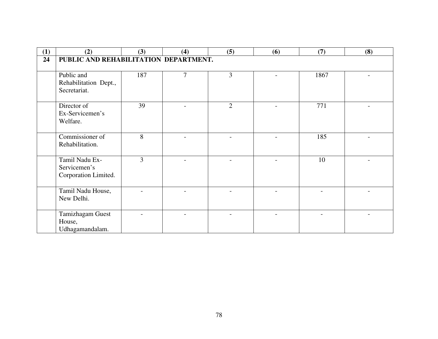| (1) | (2)                                                    | (3)            | (4)            | (5)            | (6) | (7)  | (8) |
|-----|--------------------------------------------------------|----------------|----------------|----------------|-----|------|-----|
| 24  | PUBLIC AND REHABILITATION DEPARTMENT.                  |                |                |                |     |      |     |
|     | Public and<br>Rehabilitation Dept.,<br>Secretariat.    | 187            | $\overline{7}$ | $\overline{3}$ |     | 1867 |     |
|     | Director of<br>Ex-Servicemen's<br>Welfare.             | 39             |                | $\overline{2}$ |     | 771  |     |
|     | Commissioner of<br>Rehabilitation.                     | 8              |                |                |     | 185  |     |
|     | Tamil Nadu Ex-<br>Servicemen's<br>Corporation Limited. | $\overline{3}$ |                |                |     | 10   |     |
|     | Tamil Nadu House,<br>New Delhi.                        |                |                |                |     |      |     |
|     | Tamizhagam Guest<br>House,<br>Udhagamandalam.          |                |                |                |     |      |     |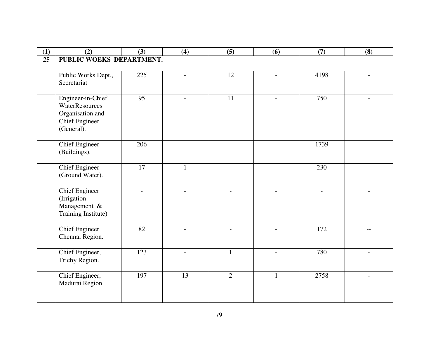| (1) | (2)                                      | (3)             | (4)                      | (5)            | (6)                      | (7)                      | (8)                      |
|-----|------------------------------------------|-----------------|--------------------------|----------------|--------------------------|--------------------------|--------------------------|
| 25  | PUBLIC WOEKS DEPARTMENT.                 |                 |                          |                |                          |                          |                          |
|     |                                          |                 |                          |                |                          |                          |                          |
|     | Public Works Dept.,                      | 225             | $\overline{\phantom{0}}$ | 12             | $\overline{a}$           | 4198                     |                          |
|     | Secretariat                              |                 |                          |                |                          |                          |                          |
|     |                                          |                 |                          |                |                          |                          |                          |
|     | Engineer-in-Chief                        | $\overline{95}$ |                          | 11             |                          | 750                      |                          |
|     | WaterResources                           |                 |                          |                |                          |                          |                          |
|     | Organisation and                         |                 |                          |                |                          |                          |                          |
|     | <b>Chief Engineer</b>                    |                 |                          |                |                          |                          |                          |
|     | (General).                               |                 |                          |                |                          |                          |                          |
|     | <b>Chief Engineer</b>                    | 206             | $\overline{a}$           | $\overline{a}$ |                          | 1739                     |                          |
|     | (Buildings).                             |                 |                          |                |                          |                          |                          |
|     |                                          |                 |                          |                |                          |                          |                          |
|     | <b>Chief Engineer</b>                    | $17\,$          | 1                        | $\blacksquare$ | $\overline{\phantom{0}}$ | 230                      |                          |
|     | (Ground Water).                          |                 |                          |                |                          |                          |                          |
|     |                                          |                 |                          |                |                          |                          |                          |
|     | <b>Chief Engineer</b>                    |                 | $\overline{\phantom{0}}$ |                |                          | $\overline{\phantom{a}}$ |                          |
|     | (Irrigation                              |                 |                          |                |                          |                          |                          |
|     | Management &                             |                 |                          |                |                          |                          |                          |
|     | Training Institute)                      |                 |                          |                |                          |                          |                          |
|     |                                          |                 |                          |                |                          |                          |                          |
|     | <b>Chief Engineer</b><br>Chennai Region. | 82              |                          |                |                          | 172                      |                          |
|     |                                          |                 |                          |                |                          |                          |                          |
|     | Chief Engineer,                          | 123             | $\overline{\phantom{a}}$ | $\mathbf{1}$   | $\overline{\phantom{a}}$ | 780                      | $\overline{\phantom{a}}$ |
|     | Trichy Region.                           |                 |                          |                |                          |                          |                          |
|     |                                          |                 |                          |                |                          |                          |                          |
|     | Chief Engineer,                          | 197             | 13                       | $\overline{2}$ | $\mathbf{1}$             | 2758                     |                          |
|     | Madurai Region.                          |                 |                          |                |                          |                          |                          |
|     |                                          |                 |                          |                |                          |                          |                          |
|     |                                          |                 |                          |                |                          |                          |                          |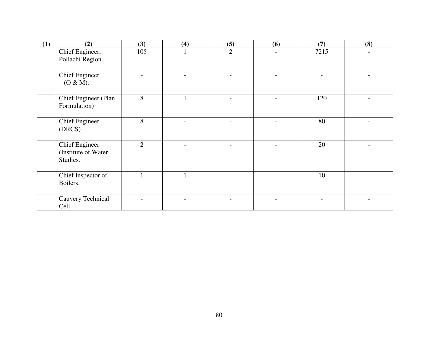| (1) | (2)                                                      | (3)            | (4) | (5)            | (6) | (7)  | (8) |
|-----|----------------------------------------------------------|----------------|-----|----------------|-----|------|-----|
|     | Chief Engineer,<br>Pollachi Region.                      | 105            |     | $\overline{2}$ |     | 7215 |     |
|     | <b>Chief Engineer</b><br>(O & M).                        |                |     |                |     |      |     |
|     | Chief Engineer (Plan<br>Formulation)                     | 8              |     |                |     | 120  |     |
|     | <b>Chief Engineer</b><br>(DRCS)                          | 8              |     |                |     | 80   |     |
|     | <b>Chief Engineer</b><br>(Institute of Water<br>Studies. | $\overline{2}$ |     |                |     | 20   |     |
|     | Chief Inspector of<br>Boilers.                           |                |     |                |     | 10   |     |
|     | Cauvery Technical<br>Cell.                               |                |     |                |     |      |     |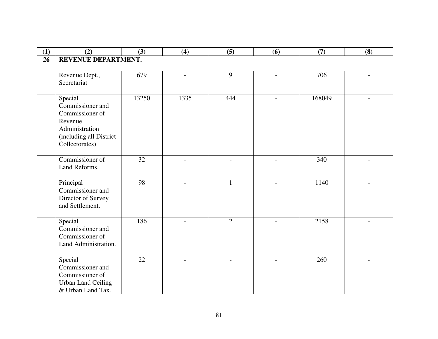| (1) | (2)                       | (3)   | (4)                      | (5)            | (6)                      | (7)    | (8)                      |
|-----|---------------------------|-------|--------------------------|----------------|--------------------------|--------|--------------------------|
| 26  | REVENUE DEPARTMENT.       |       |                          |                |                          |        |                          |
|     |                           |       |                          |                |                          |        |                          |
|     | Revenue Dept.,            | 679   | $\overline{a}$           | 9              | $\overline{\phantom{0}}$ | 706    | $\overline{a}$           |
|     | Secretariat               |       |                          |                |                          |        |                          |
|     |                           |       |                          |                |                          |        |                          |
|     | Special                   | 13250 | 1335                     | 444            | $\overline{a}$           | 168049 |                          |
|     | Commissioner and          |       |                          |                |                          |        |                          |
|     | Commissioner of           |       |                          |                |                          |        |                          |
|     | Revenue                   |       |                          |                |                          |        |                          |
|     | Administration            |       |                          |                |                          |        |                          |
|     | (including all District   |       |                          |                |                          |        |                          |
|     | Collectorates)            |       |                          |                |                          |        |                          |
|     |                           |       |                          |                |                          |        |                          |
|     | Commissioner of           | 32    | $\overline{a}$           | $\overline{a}$ |                          | 340    |                          |
|     | Land Reforms.             |       |                          |                |                          |        |                          |
|     |                           |       |                          |                |                          |        |                          |
|     | Principal                 | 98    |                          | $\mathbf{1}$   |                          | 1140   |                          |
|     | Commissioner and          |       |                          |                |                          |        |                          |
|     | Director of Survey        |       |                          |                |                          |        |                          |
|     | and Settlement.           |       |                          |                |                          |        |                          |
|     | Special                   | 186   |                          | $\overline{2}$ |                          | 2158   |                          |
|     | Commissioner and          |       |                          |                |                          |        |                          |
|     | Commissioner of           |       |                          |                |                          |        |                          |
|     | Land Administration.      |       |                          |                |                          |        |                          |
|     |                           |       |                          |                |                          |        |                          |
|     | Special                   | 22    | $\overline{\phantom{a}}$ | $\blacksquare$ | $\overline{\phantom{0}}$ | 260    | $\overline{\phantom{a}}$ |
|     | Commissioner and          |       |                          |                |                          |        |                          |
|     | Commissioner of           |       |                          |                |                          |        |                          |
|     | <b>Urban Land Ceiling</b> |       |                          |                |                          |        |                          |
|     | & Urban Land Tax.         |       |                          |                |                          |        |                          |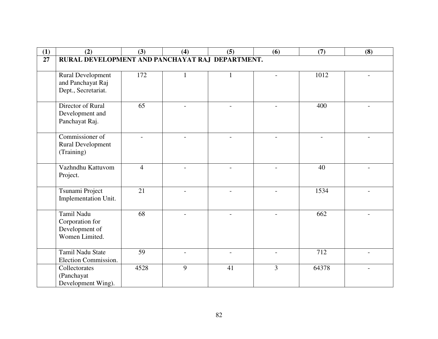| (1) | (2)                                             | (3)            | (4) | (5) | (6)            | (7)   | (8) |
|-----|-------------------------------------------------|----------------|-----|-----|----------------|-------|-----|
| 27  | RURAL DEVELOPMENT AND PANCHAYAT RAJ DEPARTMENT. |                |     |     |                |       |     |
|     |                                                 |                |     |     |                |       |     |
|     | Rural Development                               | 172            |     |     |                | 1012  |     |
|     | and Panchayat Raj                               |                |     |     |                |       |     |
|     | Dept., Secretariat.                             |                |     |     |                |       |     |
|     | Director of Rural                               | 65             |     |     |                | 400   |     |
|     | Development and                                 |                |     |     |                |       |     |
|     | Panchayat Raj.                                  |                |     |     |                |       |     |
|     |                                                 |                |     |     |                |       |     |
|     | Commissioner of                                 |                |     |     |                |       |     |
|     | <b>Rural Development</b>                        |                |     |     |                |       |     |
|     | (Training)                                      |                |     |     |                |       |     |
|     | Vazhndhu Kattuvom                               | $\overline{4}$ |     |     |                | 40    |     |
|     | Project.                                        |                |     |     |                |       |     |
|     |                                                 |                |     |     |                |       |     |
|     | Tsunami Project                                 | 21             |     |     |                | 1534  |     |
|     | Implementation Unit.                            |                |     |     |                |       |     |
|     |                                                 |                |     |     |                |       |     |
|     | Tamil Nadu                                      | 68             |     |     |                | 662   |     |
|     | Corporation for                                 |                |     |     |                |       |     |
|     | Development of<br>Women Limited.                |                |     |     |                |       |     |
|     |                                                 |                |     |     |                |       |     |
|     | <b>Tamil Nadu State</b>                         | 59             |     |     |                | 712   |     |
|     | Election Commission.                            |                |     |     |                |       |     |
|     | Collectorates                                   | 4528           | 9   | 41  | $\overline{3}$ | 64378 |     |
|     | (Panchayat                                      |                |     |     |                |       |     |
|     | Development Wing).                              |                |     |     |                |       |     |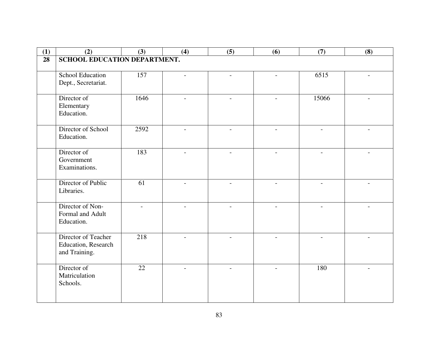| (1) | (2)                          | (3)             | (4)                      | (5)                      | (6)                      | (7)                      | (8)                      |
|-----|------------------------------|-----------------|--------------------------|--------------------------|--------------------------|--------------------------|--------------------------|
| 28  | SCHOOL EDUCATION DEPARTMENT. |                 |                          |                          |                          |                          |                          |
|     |                              |                 |                          |                          |                          |                          |                          |
|     | <b>School Education</b>      | 157             | $\overline{\phantom{a}}$ | $\overline{\phantom{a}}$ | $\overline{\phantom{a}}$ | 6515                     | $\overline{\phantom{a}}$ |
|     | Dept., Secretariat.          |                 |                          |                          |                          |                          |                          |
|     |                              |                 |                          |                          |                          |                          |                          |
|     | Director of                  | 1646            |                          |                          |                          | 15066                    |                          |
|     | Elementary                   |                 |                          |                          |                          |                          |                          |
|     | Education.                   |                 |                          |                          |                          |                          |                          |
|     | Director of School           | 2592            | $\overline{\phantom{a}}$ | $\overline{\phantom{a}}$ | $\overline{\phantom{a}}$ | $\overline{\phantom{a}}$ | $\overline{\phantom{0}}$ |
|     | Education.                   |                 |                          |                          |                          |                          |                          |
|     |                              |                 |                          |                          |                          |                          |                          |
|     | Director of                  | 183             |                          |                          |                          |                          |                          |
|     | Government                   |                 |                          |                          |                          |                          |                          |
|     | Examinations.                |                 |                          |                          |                          |                          |                          |
|     |                              |                 |                          |                          |                          |                          |                          |
|     | Director of Public           | $\overline{61}$ | $\overline{a}$           | $\overline{\phantom{a}}$ |                          |                          |                          |
|     | Libraries.                   |                 |                          |                          |                          |                          |                          |
|     | Director of Non-             |                 |                          |                          |                          |                          |                          |
|     | Formal and Adult             |                 |                          |                          |                          |                          |                          |
|     | Education.                   |                 |                          |                          |                          |                          |                          |
|     |                              |                 |                          |                          |                          |                          |                          |
|     | Director of Teacher          | 218             |                          |                          |                          |                          |                          |
|     | Education, Research          |                 |                          |                          |                          |                          |                          |
|     | and Training.                |                 |                          |                          |                          |                          |                          |
|     |                              |                 |                          |                          |                          |                          |                          |
|     | Director of                  | 22              |                          |                          |                          | 180                      |                          |
|     | Matriculation                |                 |                          |                          |                          |                          |                          |
|     | Schools.                     |                 |                          |                          |                          |                          |                          |
|     |                              |                 |                          |                          |                          |                          |                          |
|     |                              |                 |                          |                          |                          |                          |                          |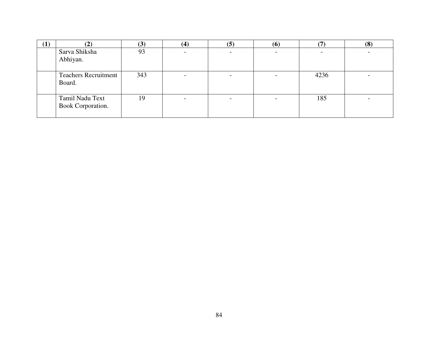| (1) | $\hat{ }$                             | (3) | (4) | (5) | $\boldsymbol{\left( 6\right) }$ |      | (8) |
|-----|---------------------------------------|-----|-----|-----|---------------------------------|------|-----|
|     | Sarva Shiksha                         | 93  |     |     |                                 |      |     |
|     | Abhiyan.                              |     |     |     |                                 |      |     |
|     | <b>Teachers Recruitment</b><br>Board. | 343 |     |     |                                 | 4236 |     |
|     | Tamil Nadu Text<br>Book Corporation.  | 19  |     |     |                                 | 185  |     |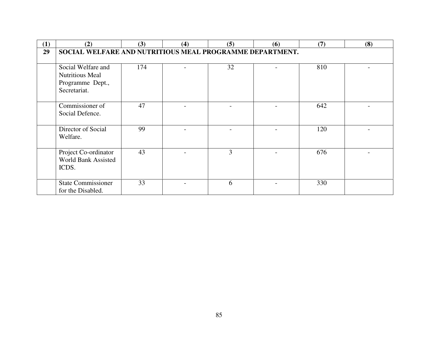| (1) | (2)                                                                              | (3) | (4) | (5)            | (6) | (7) | (8) |  |
|-----|----------------------------------------------------------------------------------|-----|-----|----------------|-----|-----|-----|--|
| 29  | SOCIAL WELFARE AND NUTRITIOUS MEAL PROGRAMME DEPARTMENT.                         |     |     |                |     |     |     |  |
|     | Social Welfare and<br><b>Nutritious Meal</b><br>Programme Dept.,<br>Secretariat. | 174 |     | 32             |     | 810 |     |  |
|     | Commissioner of<br>Social Defence.                                               | 47  |     | $\overline{a}$ |     | 642 |     |  |
|     | Director of Social<br>Welfare.                                                   | 99  |     |                |     | 120 |     |  |
|     | Project Co-ordinator<br>World Bank Assisted<br>ICDS.                             | 43  |     | 3              |     | 676 |     |  |
|     | <b>State Commissioner</b><br>for the Disabled.                                   | 33  |     | 6              |     | 330 |     |  |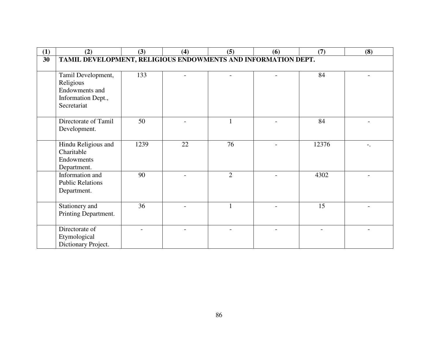| (1) | (2)                                                           | (3)  | (4) | (5)            | (6) | (7)   | (8)   |  |  |
|-----|---------------------------------------------------------------|------|-----|----------------|-----|-------|-------|--|--|
| 30  | TAMIL DEVELOPMENT, RELIGIOUS ENDOWMENTS AND INFORMATION DEPT. |      |     |                |     |       |       |  |  |
|     |                                                               |      |     |                |     |       |       |  |  |
|     | Tamil Development,                                            | 133  |     |                |     | 84    |       |  |  |
|     | Religious                                                     |      |     |                |     |       |       |  |  |
|     | Endowments and                                                |      |     |                |     |       |       |  |  |
|     | Information Dept.,                                            |      |     |                |     |       |       |  |  |
|     | Secretariat                                                   |      |     |                |     |       |       |  |  |
|     |                                                               |      |     |                |     |       |       |  |  |
|     | Directorate of Tamil                                          | 50   |     |                |     | 84    |       |  |  |
|     | Development.                                                  |      |     |                |     |       |       |  |  |
|     |                                                               |      |     |                |     |       |       |  |  |
|     | Hindu Religious and                                           | 1239 | 22  | 76             |     | 12376 | $-$ . |  |  |
|     | Charitable                                                    |      |     |                |     |       |       |  |  |
|     | Endowments                                                    |      |     |                |     |       |       |  |  |
|     | Department.                                                   |      |     |                |     |       |       |  |  |
|     | Information and                                               | 90   |     | $\overline{2}$ |     | 4302  |       |  |  |
|     | <b>Public Relations</b>                                       |      |     |                |     |       |       |  |  |
|     | Department.                                                   |      |     |                |     |       |       |  |  |
|     |                                                               |      |     |                |     |       |       |  |  |
|     | Stationery and                                                | 36   |     | $\mathbf{1}$   |     | 15    |       |  |  |
|     | Printing Department.                                          |      |     |                |     |       |       |  |  |
|     |                                                               |      |     |                |     |       |       |  |  |
|     | Directorate of                                                |      |     |                |     |       |       |  |  |
|     | Etymological                                                  |      |     |                |     |       |       |  |  |
|     | Dictionary Project.                                           |      |     |                |     |       |       |  |  |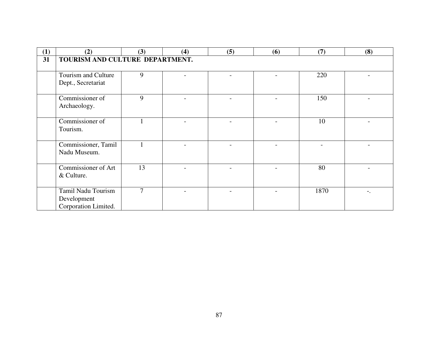| (1) | (2)                                                       | (3)            | (4) | (5) | (6) | (7)  | (8) |  |  |
|-----|-----------------------------------------------------------|----------------|-----|-----|-----|------|-----|--|--|
| 31  | TOURISM AND CULTURE DEPARTMENT.                           |                |     |     |     |      |     |  |  |
|     | Tourism and Culture<br>Dept., Secretariat                 | 9              |     |     |     | 220  |     |  |  |
|     | Commissioner of<br>Archaeology.                           | 9              |     |     |     | 150  |     |  |  |
|     | Commissioner of<br>Tourism.                               |                |     |     |     | 10   |     |  |  |
|     | Commissioner, Tamil<br>Nadu Museum.                       |                |     |     |     |      |     |  |  |
|     | Commissioner of Art<br>& Culture.                         | 13             |     |     |     | 80   |     |  |  |
|     | Tamil Nadu Tourism<br>Development<br>Corporation Limited. | $\overline{7}$ |     |     |     | 1870 |     |  |  |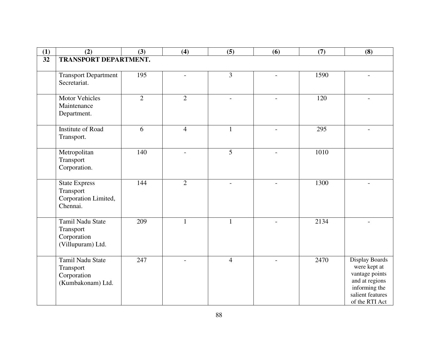| (1)             | (2)                               | (3)            | (4)            | (5)            | (6)            | (7)  | (8)                                |  |  |
|-----------------|-----------------------------------|----------------|----------------|----------------|----------------|------|------------------------------------|--|--|
| $\overline{32}$ | <b>TRANSPORT DEPARTMENT.</b>      |                |                |                |                |      |                                    |  |  |
|                 |                                   |                |                |                |                |      |                                    |  |  |
|                 | <b>Transport Department</b>       | 195            |                | 3              |                | 1590 |                                    |  |  |
|                 | Secretariat.                      |                |                |                |                |      |                                    |  |  |
|                 |                                   |                |                |                |                |      |                                    |  |  |
|                 | Motor Vehicles                    | $\overline{2}$ | $\overline{2}$ |                |                | 120  |                                    |  |  |
|                 | Maintenance                       |                |                |                |                |      |                                    |  |  |
|                 | Department.                       |                |                |                |                |      |                                    |  |  |
|                 | <b>Institute of Road</b>          | 6              | $\overline{4}$ | $\mathbf{1}$   |                | 295  |                                    |  |  |
|                 | Transport.                        |                |                |                |                |      |                                    |  |  |
|                 |                                   |                |                |                |                |      |                                    |  |  |
|                 | Metropolitan                      | 140            | $\overline{a}$ | 5              |                | 1010 |                                    |  |  |
|                 | Transport                         |                |                |                |                |      |                                    |  |  |
|                 | Corporation.                      |                |                |                |                |      |                                    |  |  |
|                 |                                   |                |                |                |                |      |                                    |  |  |
|                 | <b>State Express</b><br>Transport | 144            | $\overline{2}$ | $\blacksquare$ | $\overline{a}$ | 1300 |                                    |  |  |
|                 | Corporation Limited,              |                |                |                |                |      |                                    |  |  |
|                 | Chennai.                          |                |                |                |                |      |                                    |  |  |
|                 |                                   |                |                |                |                |      |                                    |  |  |
|                 | Tamil Nadu State                  | 209            | $\mathbf{1}$   | $\mathbf{1}$   |                | 2134 |                                    |  |  |
|                 | Transport                         |                |                |                |                |      |                                    |  |  |
|                 | Corporation                       |                |                |                |                |      |                                    |  |  |
|                 | (Villupuram) Ltd.                 |                |                |                |                |      |                                    |  |  |
|                 | <b>Tamil Nadu State</b>           | 247            |                | $\overline{4}$ |                | 2470 | <b>Display Boards</b>              |  |  |
|                 | Transport                         |                |                |                |                |      | were kept at                       |  |  |
|                 | Corporation                       |                |                |                |                |      | vantage points                     |  |  |
|                 | (Kumbakonam) Ltd.                 |                |                |                |                |      | and at regions                     |  |  |
|                 |                                   |                |                |                |                |      | informing the                      |  |  |
|                 |                                   |                |                |                |                |      | salient features<br>of the RTI Act |  |  |
|                 |                                   |                |                |                |                |      |                                    |  |  |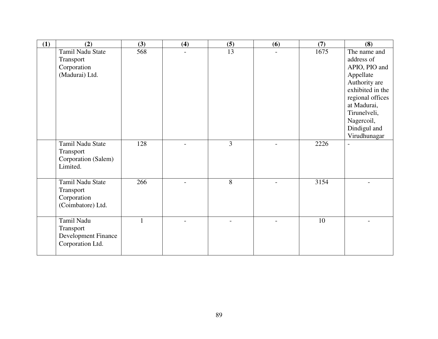| (1) | (2)                                                                | (3) | (4)                      | (5)            | (6)                      | (7)  | (8)                                                                                                                                                                                            |
|-----|--------------------------------------------------------------------|-----|--------------------------|----------------|--------------------------|------|------------------------------------------------------------------------------------------------------------------------------------------------------------------------------------------------|
|     | Tamil Nadu State<br>Transport<br>Corporation<br>(Madurai) Ltd.     | 568 | $\overline{a}$           | 13             | $\overline{\phantom{0}}$ | 1675 | The name and<br>address of<br>APIO, PIO and<br>Appellate<br>Authority are<br>exhibited in the<br>regional offices<br>at Madurai,<br>Tirunelveli,<br>Nagercoil,<br>Dindigul and<br>Virudhunagar |
|     | Tamil Nadu State<br>Transport<br>Corporation (Salem)<br>Limited.   | 128 | $\overline{\phantom{0}}$ | $\overline{3}$ | $\overline{a}$           | 2226 | $\overline{a}$                                                                                                                                                                                 |
|     | Tamil Nadu State<br>Transport<br>Corporation<br>(Coimbatore) Ltd.  | 266 | $\overline{a}$           | 8              |                          | 3154 |                                                                                                                                                                                                |
|     | Tamil Nadu<br>Transport<br>Development Finance<br>Corporation Ltd. | 1   |                          |                |                          | 10   |                                                                                                                                                                                                |